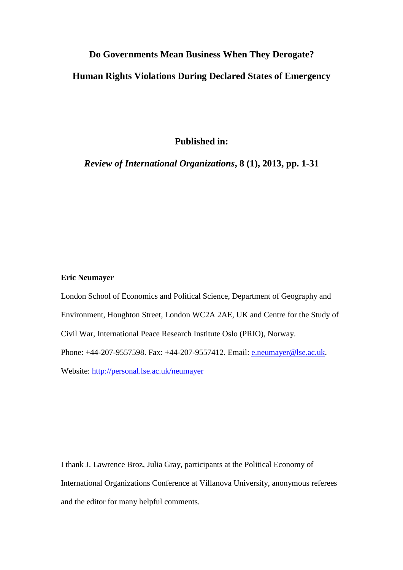# **Do Governments Mean Business When They Derogate?**

# **Human Rights Violations During Declared States of Emergency**

**Published in:** 

*Review of International Organizations***, 8 (1), 2013, pp. 1-31** 

## **Eric Neumayer**

London School of Economics and Political Science, Department of Geography and Environment, Houghton Street, London WC2A 2AE, UK and Centre for the Study of Civil War, International Peace Research Institute Oslo (PRIO), Norway. Phone: +44-207-9557598. Fax: +44-207-9557412. Email: e.neumayer@lse.ac.uk. Website: http://personal.lse.ac.uk/neumayer

I thank J. Lawrence Broz, Julia Gray, participants at the Political Economy of International Organizations Conference at Villanova University, anonymous referees and the editor for many helpful comments.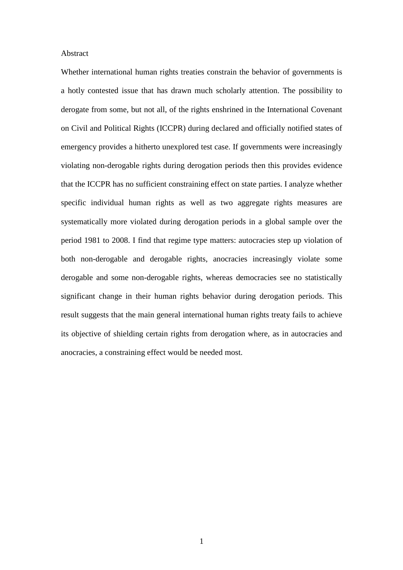#### Abstract

Whether international human rights treaties constrain the behavior of governments is a hotly contested issue that has drawn much scholarly attention. The possibility to derogate from some, but not all, of the rights enshrined in the International Covenant on Civil and Political Rights (ICCPR) during declared and officially notified states of emergency provides a hitherto unexplored test case. If governments were increasingly violating non-derogable rights during derogation periods then this provides evidence that the ICCPR has no sufficient constraining effect on state parties. I analyze whether specific individual human rights as well as two aggregate rights measures are systematically more violated during derogation periods in a global sample over the period 1981 to 2008. I find that regime type matters: autocracies step up violation of both non-derogable and derogable rights, anocracies increasingly violate some derogable and some non-derogable rights, whereas democracies see no statistically significant change in their human rights behavior during derogation periods. This result suggests that the main general international human rights treaty fails to achieve its objective of shielding certain rights from derogation where, as in autocracies and anocracies, a constraining effect would be needed most.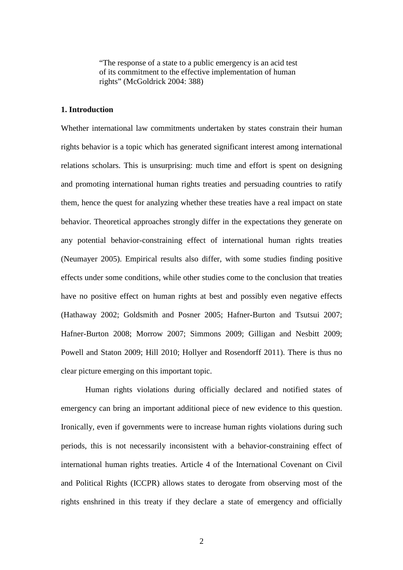"The response of a state to a public emergency is an acid test of its commitment to the effective implementation of human rights" (McGoldrick 2004: 388)

## **1. Introduction**

Whether international law commitments undertaken by states constrain their human rights behavior is a topic which has generated significant interest among international relations scholars. This is unsurprising: much time and effort is spent on designing and promoting international human rights treaties and persuading countries to ratify them, hence the quest for analyzing whether these treaties have a real impact on state behavior. Theoretical approaches strongly differ in the expectations they generate on any potential behavior-constraining effect of international human rights treaties (Neumayer 2005). Empirical results also differ, with some studies finding positive effects under some conditions, while other studies come to the conclusion that treaties have no positive effect on human rights at best and possibly even negative effects (Hathaway 2002; Goldsmith and Posner 2005; Hafner-Burton and Tsutsui 2007; Hafner-Burton 2008; Morrow 2007; Simmons 2009; Gilligan and Nesbitt 2009; Powell and Staton 2009; Hill 2010; Hollyer and Rosendorff 2011). There is thus no clear picture emerging on this important topic.

Human rights violations during officially declared and notified states of emergency can bring an important additional piece of new evidence to this question. Ironically, even if governments were to increase human rights violations during such periods, this is not necessarily inconsistent with a behavior-constraining effect of international human rights treaties. Article 4 of the International Covenant on Civil and Political Rights (ICCPR) allows states to derogate from observing most of the rights enshrined in this treaty if they declare a state of emergency and officially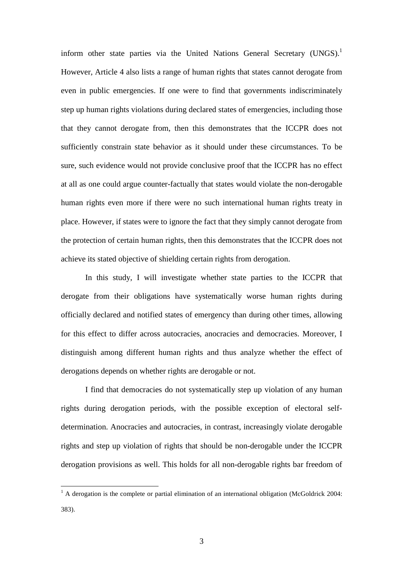inform other state parties via the United Nations General Secretary (UNGS).<sup>1</sup> However, Article 4 also lists a range of human rights that states cannot derogate from even in public emergencies. If one were to find that governments indiscriminately step up human rights violations during declared states of emergencies, including those that they cannot derogate from, then this demonstrates that the ICCPR does not sufficiently constrain state behavior as it should under these circumstances. To be sure, such evidence would not provide conclusive proof that the ICCPR has no effect at all as one could argue counter-factually that states would violate the non-derogable human rights even more if there were no such international human rights treaty in place. However, if states were to ignore the fact that they simply cannot derogate from the protection of certain human rights, then this demonstrates that the ICCPR does not achieve its stated objective of shielding certain rights from derogation.

In this study, I will investigate whether state parties to the ICCPR that derogate from their obligations have systematically worse human rights during officially declared and notified states of emergency than during other times, allowing for this effect to differ across autocracies, anocracies and democracies. Moreover, I distinguish among different human rights and thus analyze whether the effect of derogations depends on whether rights are derogable or not.

I find that democracies do not systematically step up violation of any human rights during derogation periods, with the possible exception of electoral selfdetermination. Anocracies and autocracies, in contrast, increasingly violate derogable rights and step up violation of rights that should be non-derogable under the ICCPR derogation provisions as well. This holds for all non-derogable rights bar freedom of

<sup>&</sup>lt;sup>1</sup> A derogation is the complete or partial elimination of an international obligation (McGoldrick 2004: 383).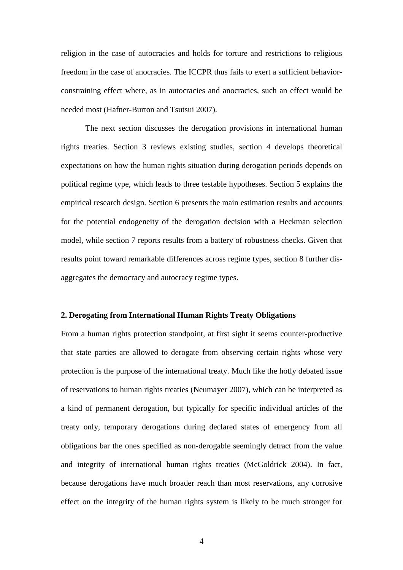religion in the case of autocracies and holds for torture and restrictions to religious freedom in the case of anocracies. The ICCPR thus fails to exert a sufficient behaviorconstraining effect where, as in autocracies and anocracies, such an effect would be needed most (Hafner-Burton and Tsutsui 2007).

The next section discusses the derogation provisions in international human rights treaties. Section 3 reviews existing studies, section 4 develops theoretical expectations on how the human rights situation during derogation periods depends on political regime type, which leads to three testable hypotheses. Section 5 explains the empirical research design. Section 6 presents the main estimation results and accounts for the potential endogeneity of the derogation decision with a Heckman selection model, while section 7 reports results from a battery of robustness checks. Given that results point toward remarkable differences across regime types, section 8 further disaggregates the democracy and autocracy regime types.

#### **2. Derogating from International Human Rights Treaty Obligations**

From a human rights protection standpoint, at first sight it seems counter-productive that state parties are allowed to derogate from observing certain rights whose very protection is the purpose of the international treaty. Much like the hotly debated issue of reservations to human rights treaties (Neumayer 2007), which can be interpreted as a kind of permanent derogation, but typically for specific individual articles of the treaty only, temporary derogations during declared states of emergency from all obligations bar the ones specified as non-derogable seemingly detract from the value and integrity of international human rights treaties (McGoldrick 2004). In fact, because derogations have much broader reach than most reservations, any corrosive effect on the integrity of the human rights system is likely to be much stronger for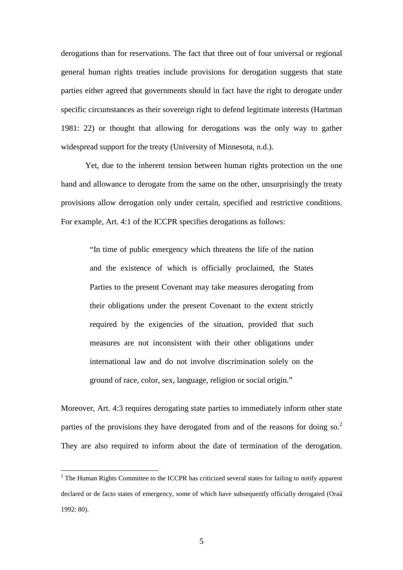derogations than for reservations. The fact that three out of four universal or regional general human rights treaties include provisions for derogation suggests that state parties either agreed that governments should in fact have the right to derogate under specific circumstances as their sovereign right to defend legitimate interests (Hartman 1981: 22) or thought that allowing for derogations was the only way to gather widespread support for the treaty (University of Minnesota, n.d.).

Yet, due to the inherent tension between human rights protection on the one hand and allowance to derogate from the same on the other, unsurprisingly the treaty provisions allow derogation only under certain, specified and restrictive conditions. For example, Art. 4:1 of the ICCPR specifies derogations as follows:

> "In time of public emergency which threatens the life of the nation and the existence of which is officially proclaimed, the States Parties to the present Covenant may take measures derogating from their obligations under the present Covenant to the extent strictly required by the exigencies of the situation, provided that such measures are not inconsistent with their other obligations under international law and do not involve discrimination solely on the ground of race, color, sex, language, religion or social origin."

Moreover, Art. 4:3 requires derogating state parties to immediately inform other state parties of the provisions they have derogated from and of the reasons for doing so.<sup>2</sup> They are also required to inform about the date of termination of the derogation.

 $2^2$  The Human Rights Committee to the ICCPR has criticized several states for failing to notify apparent declared or de facto states of emergency, some of which have subsequently officially derogated (Oraá 1992: 80).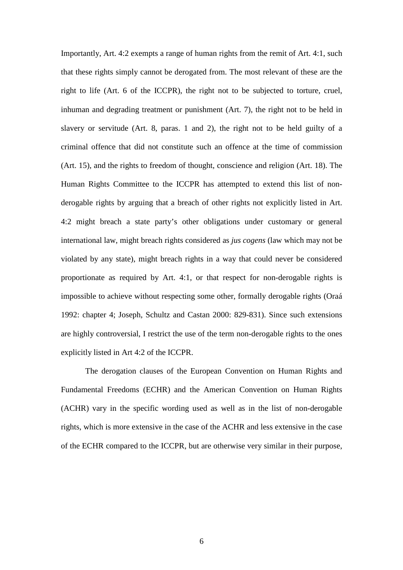Importantly, Art. 4:2 exempts a range of human rights from the remit of Art. 4:1, such that these rights simply cannot be derogated from. The most relevant of these are the right to life (Art. 6 of the ICCPR), the right not to be subjected to torture, cruel, inhuman and degrading treatment or punishment (Art. 7), the right not to be held in slavery or servitude (Art. 8, paras. 1 and 2), the right not to be held guilty of a criminal offence that did not constitute such an offence at the time of commission (Art. 15), and the rights to freedom of thought, conscience and religion (Art. 18). The Human Rights Committee to the ICCPR has attempted to extend this list of nonderogable rights by arguing that a breach of other rights not explicitly listed in Art. 4:2 might breach a state party's other obligations under customary or general international law, might breach rights considered as *jus cogens* (law which may not be violated by any state), might breach rights in a way that could never be considered proportionate as required by Art. 4:1, or that respect for non-derogable rights is impossible to achieve without respecting some other, formally derogable rights (Oraá 1992: chapter 4; Joseph, Schultz and Castan 2000: 829-831). Since such extensions are highly controversial, I restrict the use of the term non-derogable rights to the ones explicitly listed in Art 4:2 of the ICCPR.

The derogation clauses of the European Convention on Human Rights and Fundamental Freedoms (ECHR) and the American Convention on Human Rights (ACHR) vary in the specific wording used as well as in the list of non-derogable rights, which is more extensive in the case of the ACHR and less extensive in the case of the ECHR compared to the ICCPR, but are otherwise very similar in their purpose,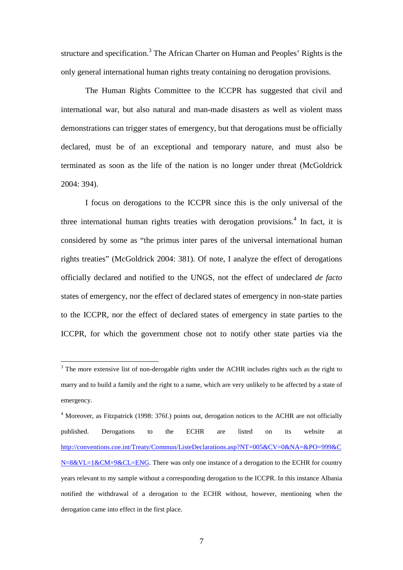structure and specification.<sup>3</sup> The African Charter on Human and Peoples' Rights is the only general international human rights treaty containing no derogation provisions.

The Human Rights Committee to the ICCPR has suggested that civil and international war, but also natural and man-made disasters as well as violent mass demonstrations can trigger states of emergency, but that derogations must be officially declared, must be of an exceptional and temporary nature, and must also be terminated as soon as the life of the nation is no longer under threat (McGoldrick 2004: 394).

I focus on derogations to the ICCPR since this is the only universal of the three international human rights treaties with derogation provisions.<sup>4</sup> In fact, it is considered by some as "the primus inter pares of the universal international human rights treaties" (McGoldrick 2004: 381). Of note, I analyze the effect of derogations officially declared and notified to the UNGS, not the effect of undeclared *de facto* states of emergency, nor the effect of declared states of emergency in non-state parties to the ICCPR, nor the effect of declared states of emergency in state parties to the ICCPR, for which the government chose not to notify other state parties via the

 $3$  The more extensive list of non-derogable rights under the ACHR includes rights such as the right to marry and to build a family and the right to a name, which are very unlikely to be affected by a state of emergency.

<sup>&</sup>lt;sup>4</sup> Moreover, as Fitzpatrick (1998: 376f.) points out, derogation notices to the ACHR are not officially published. Derogations to the ECHR are listed on its website at http://conventions.coe.int/Treaty/Commun/ListeDeclarations.asp?NT=005&CV=0&NA=&PO=999&C N=8&VL=1&CM=9&CL=ENG. There was only one instance of a derogation to the ECHR for country years relevant to my sample without a corresponding derogation to the ICCPR. In this instance Albania notified the withdrawal of a derogation to the ECHR without, however, mentioning when the derogation came into effect in the first place.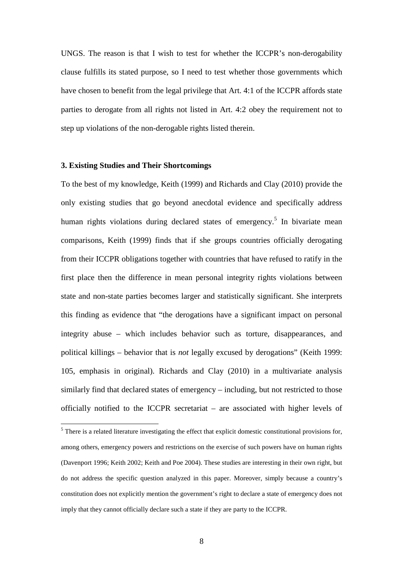UNGS. The reason is that I wish to test for whether the ICCPR's non-derogability clause fulfills its stated purpose, so I need to test whether those governments which have chosen to benefit from the legal privilege that Art. 4:1 of the ICCPR affords state parties to derogate from all rights not listed in Art. 4:2 obey the requirement not to step up violations of the non-derogable rights listed therein.

#### **3. Existing Studies and Their Shortcomings**

 $\overline{a}$ 

To the best of my knowledge, Keith (1999) and Richards and Clay (2010) provide the only existing studies that go beyond anecdotal evidence and specifically address human rights violations during declared states of emergency.<sup>5</sup> In bivariate mean comparisons, Keith (1999) finds that if she groups countries officially derogating from their ICCPR obligations together with countries that have refused to ratify in the first place then the difference in mean personal integrity rights violations between state and non-state parties becomes larger and statistically significant. She interprets this finding as evidence that "the derogations have a significant impact on personal integrity abuse – which includes behavior such as torture, disappearances, and political killings – behavior that is *not* legally excused by derogations" (Keith 1999: 105, emphasis in original). Richards and Clay (2010) in a multivariate analysis similarly find that declared states of emergency – including, but not restricted to those officially notified to the ICCPR secretariat – are associated with higher levels of

 $<sup>5</sup>$  There is a related literature investigating the effect that explicit domestic constitutional provisions for,</sup> among others, emergency powers and restrictions on the exercise of such powers have on human rights (Davenport 1996; Keith 2002; Keith and Poe 2004). These studies are interesting in their own right, but do not address the specific question analyzed in this paper. Moreover, simply because a country's constitution does not explicitly mention the government's right to declare a state of emergency does not imply that they cannot officially declare such a state if they are party to the ICCPR.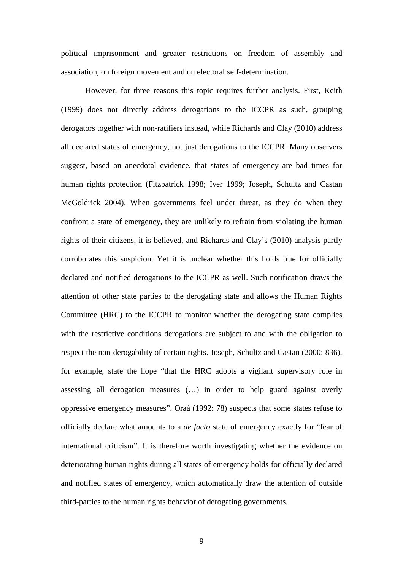political imprisonment and greater restrictions on freedom of assembly and association, on foreign movement and on electoral self-determination.

However, for three reasons this topic requires further analysis. First, Keith (1999) does not directly address derogations to the ICCPR as such, grouping derogators together with non-ratifiers instead, while Richards and Clay (2010) address all declared states of emergency, not just derogations to the ICCPR. Many observers suggest, based on anecdotal evidence, that states of emergency are bad times for human rights protection (Fitzpatrick 1998; Iyer 1999; Joseph, Schultz and Castan McGoldrick 2004). When governments feel under threat, as they do when they confront a state of emergency, they are unlikely to refrain from violating the human rights of their citizens, it is believed, and Richards and Clay's (2010) analysis partly corroborates this suspicion. Yet it is unclear whether this holds true for officially declared and notified derogations to the ICCPR as well. Such notification draws the attention of other state parties to the derogating state and allows the Human Rights Committee (HRC) to the ICCPR to monitor whether the derogating state complies with the restrictive conditions derogations are subject to and with the obligation to respect the non-derogability of certain rights. Joseph, Schultz and Castan (2000: 836), for example, state the hope "that the HRC adopts a vigilant supervisory role in assessing all derogation measures (…) in order to help guard against overly oppressive emergency measures". Oraá (1992: 78) suspects that some states refuse to officially declare what amounts to a *de facto* state of emergency exactly for "fear of international criticism". It is therefore worth investigating whether the evidence on deteriorating human rights during all states of emergency holds for officially declared and notified states of emergency, which automatically draw the attention of outside third-parties to the human rights behavior of derogating governments.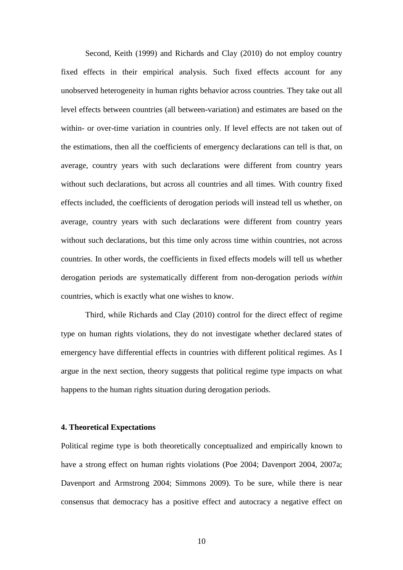Second, Keith (1999) and Richards and Clay (2010) do not employ country fixed effects in their empirical analysis. Such fixed effects account for any unobserved heterogeneity in human rights behavior across countries. They take out all level effects between countries (all between-variation) and estimates are based on the within- or over-time variation in countries only. If level effects are not taken out of the estimations, then all the coefficients of emergency declarations can tell is that, on average, country years with such declarations were different from country years without such declarations, but across all countries and all times. With country fixed effects included, the coefficients of derogation periods will instead tell us whether, on average, country years with such declarations were different from country years without such declarations, but this time only across time within countries, not across countries. In other words, the coefficients in fixed effects models will tell us whether derogation periods are systematically different from non-derogation periods *within* countries, which is exactly what one wishes to know.

Third, while Richards and Clay (2010) control for the direct effect of regime type on human rights violations, they do not investigate whether declared states of emergency have differential effects in countries with different political regimes. As I argue in the next section, theory suggests that political regime type impacts on what happens to the human rights situation during derogation periods.

### **4. Theoretical Expectations**

Political regime type is both theoretically conceptualized and empirically known to have a strong effect on human rights violations (Poe 2004; Davenport 2004, 2007a; Davenport and Armstrong 2004; Simmons 2009). To be sure, while there is near consensus that democracy has a positive effect and autocracy a negative effect on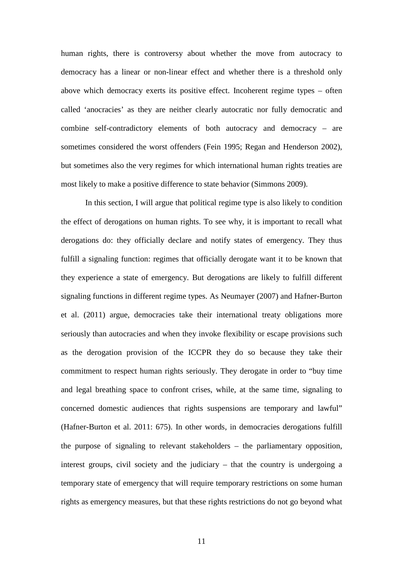human rights, there is controversy about whether the move from autocracy to democracy has a linear or non-linear effect and whether there is a threshold only above which democracy exerts its positive effect. Incoherent regime types – often called 'anocracies' as they are neither clearly autocratic nor fully democratic and combine self-contradictory elements of both autocracy and democracy – are sometimes considered the worst offenders (Fein 1995; Regan and Henderson 2002), but sometimes also the very regimes for which international human rights treaties are most likely to make a positive difference to state behavior (Simmons 2009).

In this section, I will argue that political regime type is also likely to condition the effect of derogations on human rights. To see why, it is important to recall what derogations do: they officially declare and notify states of emergency. They thus fulfill a signaling function: regimes that officially derogate want it to be known that they experience a state of emergency. But derogations are likely to fulfill different signaling functions in different regime types. As Neumayer (2007) and Hafner-Burton et al. (2011) argue, democracies take their international treaty obligations more seriously than autocracies and when they invoke flexibility or escape provisions such as the derogation provision of the ICCPR they do so because they take their commitment to respect human rights seriously. They derogate in order to "buy time and legal breathing space to confront crises, while, at the same time, signaling to concerned domestic audiences that rights suspensions are temporary and lawful" (Hafner-Burton et al. 2011: 675). In other words, in democracies derogations fulfill the purpose of signaling to relevant stakeholders – the parliamentary opposition, interest groups, civil society and the judiciary – that the country is undergoing a temporary state of emergency that will require temporary restrictions on some human rights as emergency measures, but that these rights restrictions do not go beyond what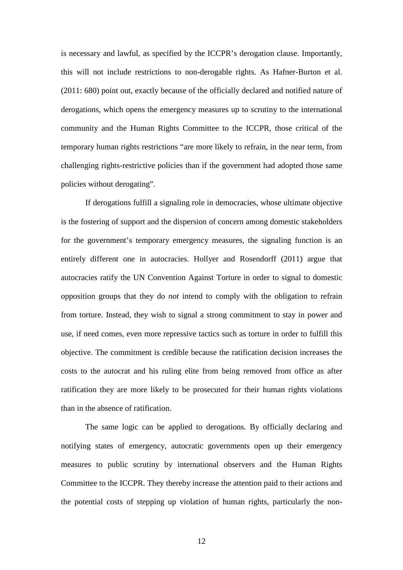is necessary and lawful, as specified by the ICCPR's derogation clause. Importantly, this will not include restrictions to non-derogable rights. As Hafner-Burton et al. (2011: 680) point out, exactly because of the officially declared and notified nature of derogations, which opens the emergency measures up to scrutiny to the international community and the Human Rights Committee to the ICCPR, those critical of the temporary human rights restrictions "are more likely to refrain, in the near term, from challenging rights-restrictive policies than if the government had adopted those same policies without derogating".

If derogations fulfill a signaling role in democracies, whose ultimate objective is the fostering of support and the dispersion of concern among domestic stakeholders for the government's temporary emergency measures, the signaling function is an entirely different one in autocracies. Hollyer and Rosendorff (2011) argue that autocracies ratify the UN Convention Against Torture in order to signal to domestic opposition groups that they do *not* intend to comply with the obligation to refrain from torture. Instead, they wish to signal a strong commitment to stay in power and use, if need comes, even more repressive tactics such as torture in order to fulfill this objective. The commitment is credible because the ratification decision increases the costs to the autocrat and his ruling elite from being removed from office as after ratification they are more likely to be prosecuted for their human rights violations than in the absence of ratification.

The same logic can be applied to derogations. By officially declaring and notifying states of emergency, autocratic governments open up their emergency measures to public scrutiny by international observers and the Human Rights Committee to the ICCPR. They thereby increase the attention paid to their actions and the potential costs of stepping up violation of human rights, particularly the non-

12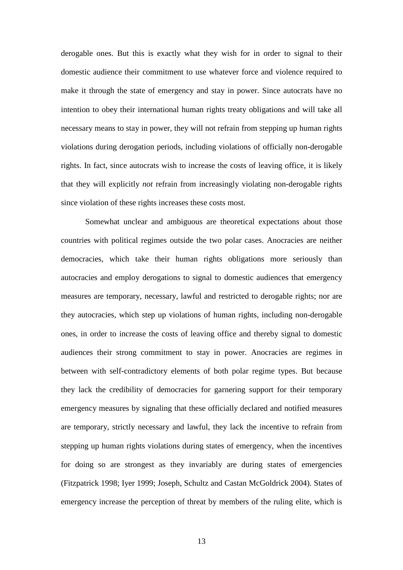derogable ones. But this is exactly what they wish for in order to signal to their domestic audience their commitment to use whatever force and violence required to make it through the state of emergency and stay in power. Since autocrats have no intention to obey their international human rights treaty obligations and will take all necessary means to stay in power, they will not refrain from stepping up human rights violations during derogation periods, including violations of officially non-derogable rights. In fact, since autocrats wish to increase the costs of leaving office, it is likely that they will explicitly *not* refrain from increasingly violating non-derogable rights since violation of these rights increases these costs most.

Somewhat unclear and ambiguous are theoretical expectations about those countries with political regimes outside the two polar cases. Anocracies are neither democracies, which take their human rights obligations more seriously than autocracies and employ derogations to signal to domestic audiences that emergency measures are temporary, necessary, lawful and restricted to derogable rights; nor are they autocracies, which step up violations of human rights, including non-derogable ones, in order to increase the costs of leaving office and thereby signal to domestic audiences their strong commitment to stay in power. Anocracies are regimes in between with self-contradictory elements of both polar regime types. But because they lack the credibility of democracies for garnering support for their temporary emergency measures by signaling that these officially declared and notified measures are temporary, strictly necessary and lawful, they lack the incentive to refrain from stepping up human rights violations during states of emergency, when the incentives for doing so are strongest as they invariably are during states of emergencies (Fitzpatrick 1998; Iyer 1999; Joseph, Schultz and Castan McGoldrick 2004). States of emergency increase the perception of threat by members of the ruling elite, which is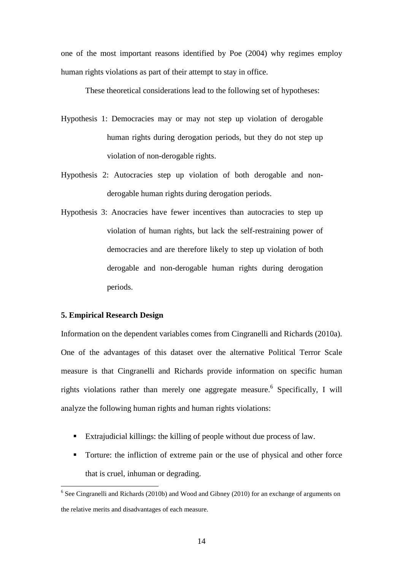one of the most important reasons identified by Poe (2004) why regimes employ human rights violations as part of their attempt to stay in office.

These theoretical considerations lead to the following set of hypotheses:

- Hypothesis 1: Democracies may or may not step up violation of derogable human rights during derogation periods, but they do not step up violation of non-derogable rights.
- Hypothesis 2: Autocracies step up violation of both derogable and nonderogable human rights during derogation periods.
- Hypothesis 3: Anocracies have fewer incentives than autocracies to step up violation of human rights, but lack the self-restraining power of democracies and are therefore likely to step up violation of both derogable and non-derogable human rights during derogation periods.

### **5. Empirical Research Design**

 $\overline{a}$ 

Information on the dependent variables comes from Cingranelli and Richards (2010a). One of the advantages of this dataset over the alternative Political Terror Scale measure is that Cingranelli and Richards provide information on specific human rights violations rather than merely one aggregate measure.<sup>6</sup> Specifically, I will analyze the following human rights and human rights violations:

- Extrajudicial killings: the killing of people without due process of law.
- Torture: the infliction of extreme pain or the use of physical and other force that is cruel, inhuman or degrading.

<sup>&</sup>lt;sup>6</sup> See Cingranelli and Richards (2010b) and Wood and Gibney (2010) for an exchange of arguments on the relative merits and disadvantages of each measure.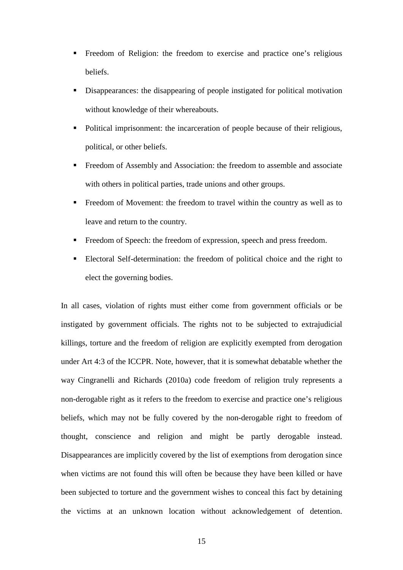- Freedom of Religion: the freedom to exercise and practice one's religious beliefs.
- Disappearances: the disappearing of people instigated for political motivation without knowledge of their whereabouts.
- Political imprisonment: the incarceration of people because of their religious, political, or other beliefs.
- Freedom of Assembly and Association: the freedom to assemble and associate with others in political parties, trade unions and other groups.
- Freedom of Movement: the freedom to travel within the country as well as to leave and return to the country.
- Freedom of Speech: the freedom of expression, speech and press freedom.
- Electoral Self-determination: the freedom of political choice and the right to elect the governing bodies.

In all cases, violation of rights must either come from government officials or be instigated by government officials. The rights not to be subjected to extrajudicial killings, torture and the freedom of religion are explicitly exempted from derogation under Art 4:3 of the ICCPR. Note, however, that it is somewhat debatable whether the way Cingranelli and Richards (2010a) code freedom of religion truly represents a non-derogable right as it refers to the freedom to exercise and practice one's religious beliefs, which may not be fully covered by the non-derogable right to freedom of thought, conscience and religion and might be partly derogable instead. Disappearances are implicitly covered by the list of exemptions from derogation since when victims are not found this will often be because they have been killed or have been subjected to torture and the government wishes to conceal this fact by detaining the victims at an unknown location without acknowledgement of detention.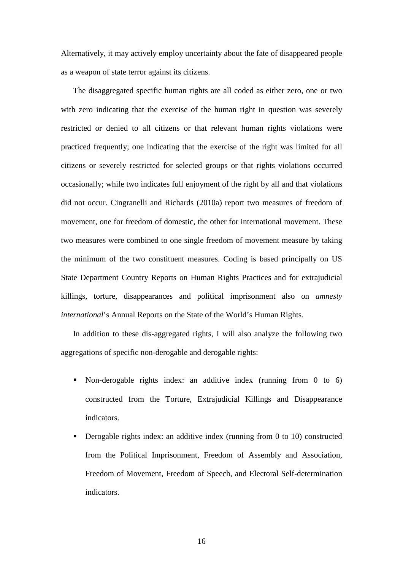Alternatively, it may actively employ uncertainty about the fate of disappeared people as a weapon of state terror against its citizens.

The disaggregated specific human rights are all coded as either zero, one or two with zero indicating that the exercise of the human right in question was severely restricted or denied to all citizens or that relevant human rights violations were practiced frequently; one indicating that the exercise of the right was limited for all citizens or severely restricted for selected groups or that rights violations occurred occasionally; while two indicates full enjoyment of the right by all and that violations did not occur. Cingranelli and Richards (2010a) report two measures of freedom of movement, one for freedom of domestic, the other for international movement. These two measures were combined to one single freedom of movement measure by taking the minimum of the two constituent measures. Coding is based principally on US State Department Country Reports on Human Rights Practices and for extrajudicial killings, torture, disappearances and political imprisonment also on *amnesty international*'s Annual Reports on the State of the World's Human Rights.

In addition to these dis-aggregated rights, I will also analyze the following two aggregations of specific non-derogable and derogable rights:

- Non-derogable rights index: an additive index (running from 0 to 6) constructed from the Torture, Extrajudicial Killings and Disappearance indicators.
- Derogable rights index: an additive index (running from 0 to 10) constructed from the Political Imprisonment, Freedom of Assembly and Association, Freedom of Movement, Freedom of Speech, and Electoral Self-determination indicators.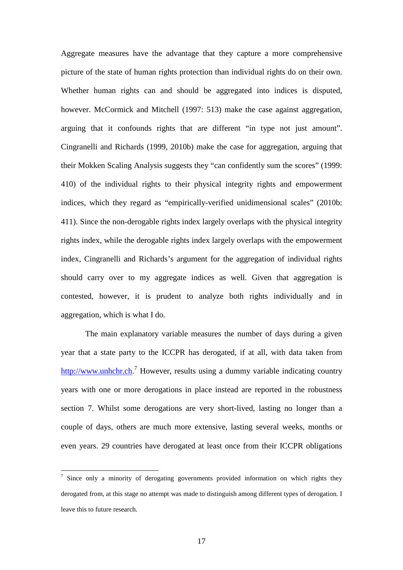Aggregate measures have the advantage that they capture a more comprehensive picture of the state of human rights protection than individual rights do on their own. Whether human rights can and should be aggregated into indices is disputed, however. McCormick and Mitchell (1997: 513) make the case against aggregation, arguing that it confounds rights that are different "in type not just amount". Cingranelli and Richards (1999, 2010b) make the case for aggregation, arguing that their Mokken Scaling Analysis suggests they "can confidently sum the scores" (1999: 410) of the individual rights to their physical integrity rights and empowerment indices, which they regard as "empirically-verified unidimensional scales" (2010b: 411). Since the non-derogable rights index largely overlaps with the physical integrity rights index, while the derogable rights index largely overlaps with the empowerment index, Cingranelli and Richards's argument for the aggregation of individual rights should carry over to my aggregate indices as well. Given that aggregation is contested, however, it is prudent to analyze both rights individually and in aggregation, which is what I do.

The main explanatory variable measures the number of days during a given year that a state party to the ICCPR has derogated, if at all, with data taken from http://www.unhchr.ch.<sup>7</sup> However, results using a dummy variable indicating country years with one or more derogations in place instead are reported in the robustness section 7. Whilst some derogations are very short-lived, lasting no longer than a couple of days, others are much more extensive, lasting several weeks, months or even years. 29 countries have derogated at least once from their ICCPR obligations

<sup>7</sup> Since only a minority of derogating governments provided information on which rights they derogated from, at this stage no attempt was made to distinguish among different types of derogation. I leave this to future research.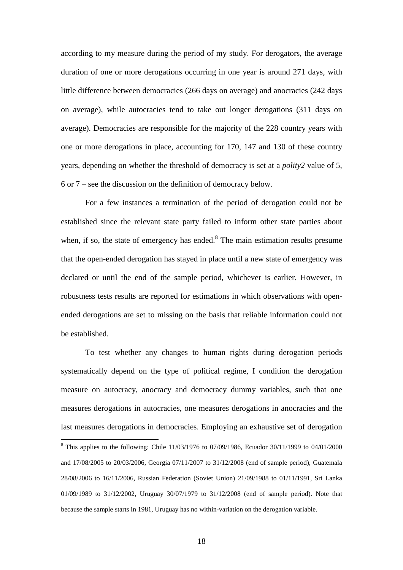according to my measure during the period of my study. For derogators, the average duration of one or more derogations occurring in one year is around 271 days, with little difference between democracies (266 days on average) and anocracies (242 days on average), while autocracies tend to take out longer derogations (311 days on average). Democracies are responsible for the majority of the 228 country years with one or more derogations in place, accounting for 170, 147 and 130 of these country years, depending on whether the threshold of democracy is set at a *polity2* value of 5, 6 or 7 – see the discussion on the definition of democracy below.

For a few instances a termination of the period of derogation could not be established since the relevant state party failed to inform other state parties about when, if so, the state of emergency has ended. $8$  The main estimation results presume that the open-ended derogation has stayed in place until a new state of emergency was declared or until the end of the sample period, whichever is earlier. However, in robustness tests results are reported for estimations in which observations with openended derogations are set to missing on the basis that reliable information could not be established.

To test whether any changes to human rights during derogation periods systematically depend on the type of political regime, I condition the derogation measure on autocracy, anocracy and democracy dummy variables, such that one measures derogations in autocracies, one measures derogations in anocracies and the last measures derogations in democracies. Employing an exhaustive set of derogation

<sup>&</sup>lt;sup>8</sup> This applies to the following: Chile 11/03/1976 to 07/09/1986, Ecuador 30/11/1999 to 04/01/2000 and 17/08/2005 to 20/03/2006, Georgia 07/11/2007 to 31/12/2008 (end of sample period), Guatemala 28/08/2006 to 16/11/2006, Russian Federation (Soviet Union) 21/09/1988 to 01/11/1991, Sri Lanka 01/09/1989 to 31/12/2002, Uruguay 30/07/1979 to 31/12/2008 (end of sample period). Note that because the sample starts in 1981, Uruguay has no within-variation on the derogation variable.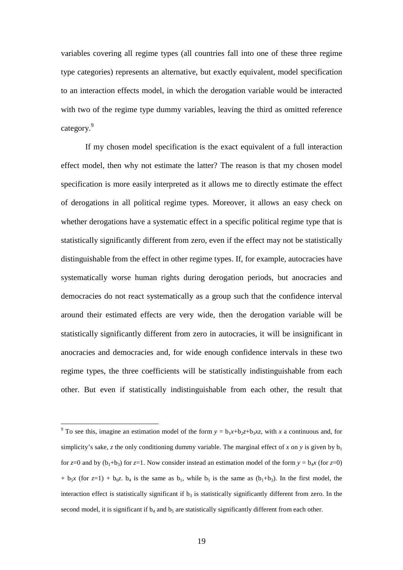variables covering all regime types (all countries fall into one of these three regime type categories) represents an alternative, but exactly equivalent, model specification to an interaction effects model, in which the derogation variable would be interacted with two of the regime type dummy variables, leaving the third as omitted reference category.<sup>9</sup>

If my chosen model specification is the exact equivalent of a full interaction effect model, then why not estimate the latter? The reason is that my chosen model specification is more easily interpreted as it allows me to directly estimate the effect of derogations in all political regime types. Moreover, it allows an easy check on whether derogations have a systematic effect in a specific political regime type that is statistically significantly different from zero, even if the effect may not be statistically distinguishable from the effect in other regime types. If, for example, autocracies have systematically worse human rights during derogation periods, but anocracies and democracies do not react systematically as a group such that the confidence interval around their estimated effects are very wide, then the derogation variable will be statistically significantly different from zero in autocracies, it will be insignificant in anocracies and democracies and, for wide enough confidence intervals in these two regime types, the three coefficients will be statistically indistinguishable from each other. But even if statistically indistinguishable from each other, the result that

<sup>&</sup>lt;sup>9</sup> To see this, imagine an estimation model of the form  $y = b_1x + b_2z + b_3xz$ , with *x* a continuous and, for simplicity's sake, *z* the only conditioning dummy variable. The marginal effect of *x* on *y* is given by  $b_1$ for  $z=0$  and by  $(b_1+b_3)$  for  $z=1$ . Now consider instead an estimation model of the form  $y = b_4x$  (for  $z=0$ )  $+$  b<sub>5</sub>*x* (for *z*=1) + b<sub>6</sub>*z*. b<sub>4</sub> is the same as b<sub>1</sub>, while b<sub>5</sub> is the same as (b<sub>1</sub>+b<sub>3</sub>). In the first model, the interaction effect is statistically significant if  $b_3$  is statistically significantly different from zero. In the second model, it is significant if  $b_4$  and  $b_5$  are statistically significantly different from each other.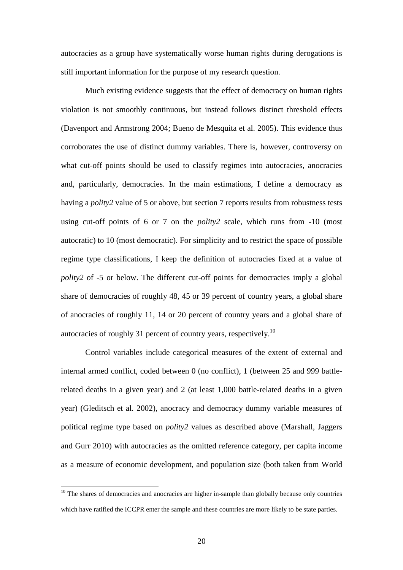autocracies as a group have systematically worse human rights during derogations is still important information for the purpose of my research question.

Much existing evidence suggests that the effect of democracy on human rights violation is not smoothly continuous, but instead follows distinct threshold effects (Davenport and Armstrong 2004; Bueno de Mesquita et al. 2005). This evidence thus corroborates the use of distinct dummy variables. There is, however, controversy on what cut-off points should be used to classify regimes into autocracies, anocracies and, particularly, democracies. In the main estimations, I define a democracy as having a *polity2* value of 5 or above, but section 7 reports results from robustness tests using cut-off points of 6 or 7 on the *polity2* scale, which runs from -10 (most autocratic) to 10 (most democratic). For simplicity and to restrict the space of possible regime type classifications, I keep the definition of autocracies fixed at a value of *polity2* of -5 or below. The different cut-off points for democracies imply a global share of democracies of roughly 48, 45 or 39 percent of country years, a global share of anocracies of roughly 11, 14 or 20 percent of country years and a global share of autocracies of roughly 31 percent of country years, respectively.<sup>10</sup>

Control variables include categorical measures of the extent of external and internal armed conflict, coded between 0 (no conflict), 1 (between 25 and 999 battlerelated deaths in a given year) and 2 (at least 1,000 battle-related deaths in a given year) (Gleditsch et al. 2002), anocracy and democracy dummy variable measures of political regime type based on *polity2* values as described above (Marshall, Jaggers and Gurr 2010) with autocracies as the omitted reference category, per capita income as a measure of economic development, and population size (both taken from World

 $10$  The shares of democracies and anocracies are higher in-sample than globally because only countries which have ratified the ICCPR enter the sample and these countries are more likely to be state parties.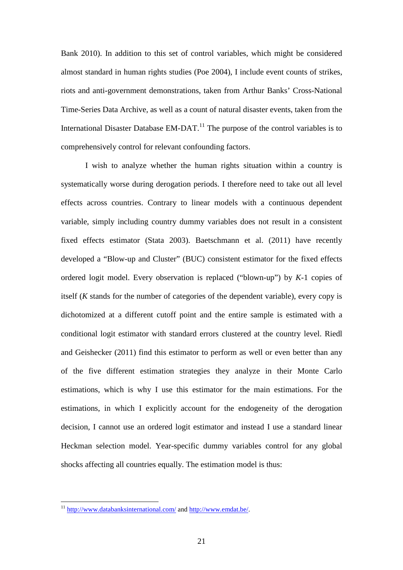Bank 2010). In addition to this set of control variables, which might be considered almost standard in human rights studies (Poe 2004), I include event counts of strikes, riots and anti-government demonstrations, taken from Arthur Banks' Cross-National Time-Series Data Archive, as well as a count of natural disaster events, taken from the International Disaster Database EM-DAT.<sup>11</sup> The purpose of the control variables is to comprehensively control for relevant confounding factors.

I wish to analyze whether the human rights situation within a country is systematically worse during derogation periods. I therefore need to take out all level effects across countries. Contrary to linear models with a continuous dependent variable, simply including country dummy variables does not result in a consistent fixed effects estimator (Stata 2003). Baetschmann et al. (2011) have recently developed a "Blow-up and Cluster" (BUC) consistent estimator for the fixed effects ordered logit model. Every observation is replaced ("blown-up") by *K*-1 copies of itself (*K* stands for the number of categories of the dependent variable), every copy is dichotomized at a different cutoff point and the entire sample is estimated with a conditional logit estimator with standard errors clustered at the country level. Riedl and Geishecker (2011) find this estimator to perform as well or even better than any of the five different estimation strategies they analyze in their Monte Carlo estimations, which is why I use this estimator for the main estimations. For the estimations, in which I explicitly account for the endogeneity of the derogation decision, I cannot use an ordered logit estimator and instead I use a standard linear Heckman selection model. Year-specific dummy variables control for any global shocks affecting all countries equally. The estimation model is thus:

<sup>&</sup>lt;sup>11</sup> http://www.databanksinternational.com/ and http://www.emdat.be/.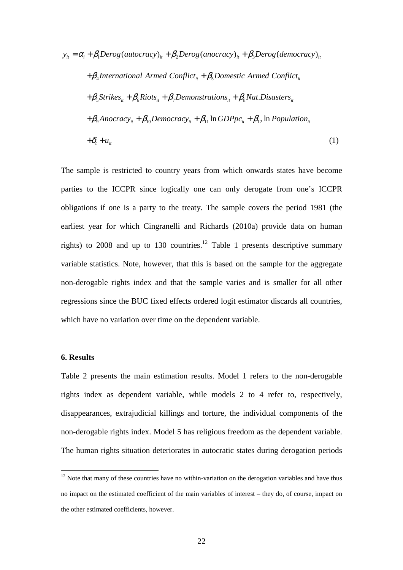$$
y_{ii} = \alpha_i + \beta_1 Derog(autocracy)_{ii} + \beta_2 Derog(anocracy)_{ii} + \beta_3 Derog(democracy)_{ii}
$$
  
+  $\beta_4$ International Armed Conflict<sub>ii</sub> +  $\beta_5$ Domestic Armed Conflict<sub>ii</sub>  
+  $\beta_5$ Strikes<sub>ii</sub> +  $\beta_6$ Riots<sub>ii</sub> +  $\beta_7$ Demonstrations<sub>ii</sub> +  $\beta_8$ Nat.Disasters<sub>ii</sub>  
+  $\beta_9$  Anocracy<sub>ii</sub> +  $\beta_{10}$ Democracy<sub>ii</sub> +  $\beta_{11}$  In GDPpc<sub>ii</sub> +  $\beta_{12}$  In Population<sub>ii</sub>  
+  $\delta_i$  +  $u_{ii}$  (1)

The sample is restricted to country years from which onwards states have become parties to the ICCPR since logically one can only derogate from one's ICCPR obligations if one is a party to the treaty. The sample covers the period 1981 (the earliest year for which Cingranelli and Richards (2010a) provide data on human rights) to 2008 and up to 130 countries.<sup>12</sup> Table 1 presents descriptive summary variable statistics. Note, however, that this is based on the sample for the aggregate non-derogable rights index and that the sample varies and is smaller for all other regressions since the BUC fixed effects ordered logit estimator discards all countries, which have no variation over time on the dependent variable.

### **6. Results**

 $\overline{a}$ 

Table 2 presents the main estimation results. Model 1 refers to the non-derogable rights index as dependent variable, while models 2 to 4 refer to, respectively, disappearances, extrajudicial killings and torture, the individual components of the non-derogable rights index. Model 5 has religious freedom as the dependent variable. The human rights situation deteriorates in autocratic states during derogation periods

 $12$  Note that many of these countries have no within-variation on the derogation variables and have thus no impact on the estimated coefficient of the main variables of interest – they do, of course, impact on the other estimated coefficients, however.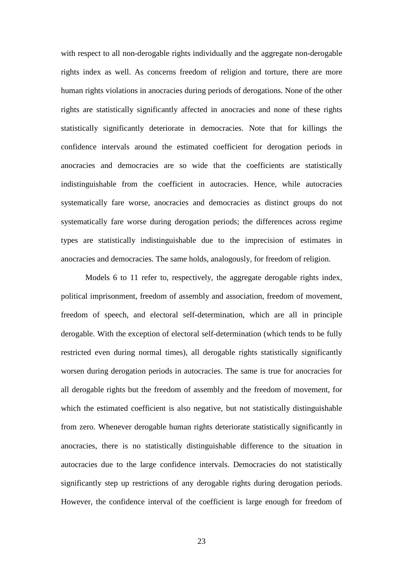with respect to all non-derogable rights individually and the aggregate non-derogable rights index as well. As concerns freedom of religion and torture, there are more human rights violations in anocracies during periods of derogations. None of the other rights are statistically significantly affected in anocracies and none of these rights statistically significantly deteriorate in democracies. Note that for killings the confidence intervals around the estimated coefficient for derogation periods in anocracies and democracies are so wide that the coefficients are statistically indistinguishable from the coefficient in autocracies. Hence, while autocracies systematically fare worse, anocracies and democracies as distinct groups do not systematically fare worse during derogation periods; the differences across regime types are statistically indistinguishable due to the imprecision of estimates in anocracies and democracies. The same holds, analogously, for freedom of religion.

Models 6 to 11 refer to, respectively, the aggregate derogable rights index, political imprisonment, freedom of assembly and association, freedom of movement, freedom of speech, and electoral self-determination, which are all in principle derogable. With the exception of electoral self-determination (which tends to be fully restricted even during normal times), all derogable rights statistically significantly worsen during derogation periods in autocracies. The same is true for anocracies for all derogable rights but the freedom of assembly and the freedom of movement, for which the estimated coefficient is also negative, but not statistically distinguishable from zero. Whenever derogable human rights deteriorate statistically significantly in anocracies, there is no statistically distinguishable difference to the situation in autocracies due to the large confidence intervals. Democracies do not statistically significantly step up restrictions of any derogable rights during derogation periods. However, the confidence interval of the coefficient is large enough for freedom of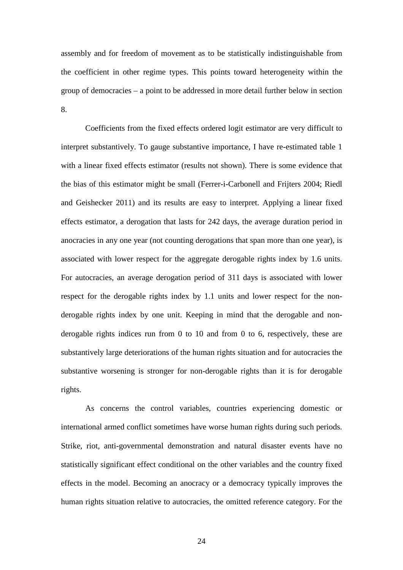assembly and for freedom of movement as to be statistically indistinguishable from the coefficient in other regime types. This points toward heterogeneity within the group of democracies – a point to be addressed in more detail further below in section 8.

Coefficients from the fixed effects ordered logit estimator are very difficult to interpret substantively. To gauge substantive importance, I have re-estimated table 1 with a linear fixed effects estimator (results not shown). There is some evidence that the bias of this estimator might be small (Ferrer-i-Carbonell and Frijters 2004; Riedl and Geishecker 2011) and its results are easy to interpret. Applying a linear fixed effects estimator, a derogation that lasts for 242 days, the average duration period in anocracies in any one year (not counting derogations that span more than one year), is associated with lower respect for the aggregate derogable rights index by 1.6 units. For autocracies, an average derogation period of 311 days is associated with lower respect for the derogable rights index by 1.1 units and lower respect for the nonderogable rights index by one unit. Keeping in mind that the derogable and nonderogable rights indices run from 0 to 10 and from 0 to 6, respectively, these are substantively large deteriorations of the human rights situation and for autocracies the substantive worsening is stronger for non-derogable rights than it is for derogable rights.

As concerns the control variables, countries experiencing domestic or international armed conflict sometimes have worse human rights during such periods. Strike, riot, anti-governmental demonstration and natural disaster events have no statistically significant effect conditional on the other variables and the country fixed effects in the model. Becoming an anocracy or a democracy typically improves the human rights situation relative to autocracies, the omitted reference category. For the

24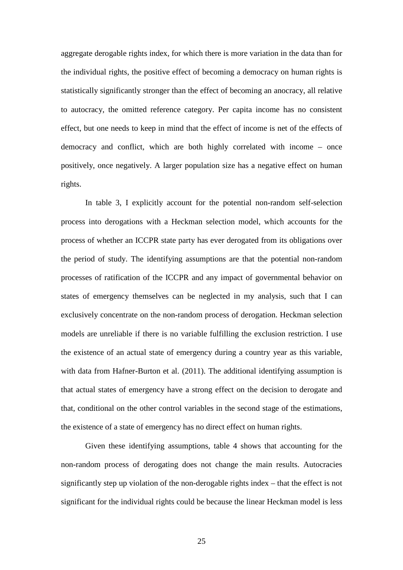aggregate derogable rights index, for which there is more variation in the data than for the individual rights, the positive effect of becoming a democracy on human rights is statistically significantly stronger than the effect of becoming an anocracy, all relative to autocracy, the omitted reference category. Per capita income has no consistent effect, but one needs to keep in mind that the effect of income is net of the effects of democracy and conflict, which are both highly correlated with income – once positively, once negatively. A larger population size has a negative effect on human rights.

In table 3, I explicitly account for the potential non-random self-selection process into derogations with a Heckman selection model, which accounts for the process of whether an ICCPR state party has ever derogated from its obligations over the period of study. The identifying assumptions are that the potential non-random processes of ratification of the ICCPR and any impact of governmental behavior on states of emergency themselves can be neglected in my analysis, such that I can exclusively concentrate on the non-random process of derogation. Heckman selection models are unreliable if there is no variable fulfilling the exclusion restriction. I use the existence of an actual state of emergency during a country year as this variable, with data from Hafner-Burton et al. (2011). The additional identifying assumption is that actual states of emergency have a strong effect on the decision to derogate and that, conditional on the other control variables in the second stage of the estimations, the existence of a state of emergency has no direct effect on human rights.

Given these identifying assumptions, table 4 shows that accounting for the non-random process of derogating does not change the main results. Autocracies significantly step up violation of the non-derogable rights index – that the effect is not significant for the individual rights could be because the linear Heckman model is less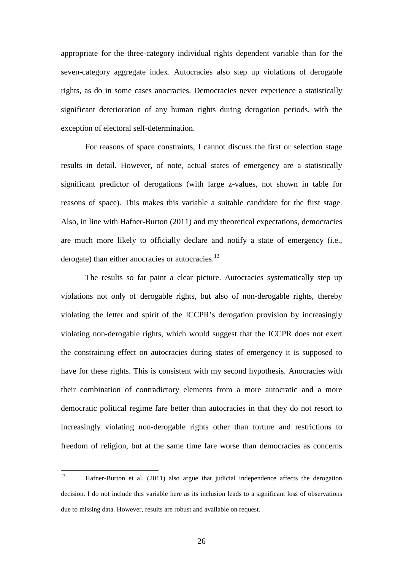appropriate for the three-category individual rights dependent variable than for the seven-category aggregate index. Autocracies also step up violations of derogable rights, as do in some cases anocracies. Democracies never experience a statistically significant deterioration of any human rights during derogation periods, with the exception of electoral self-determination.

For reasons of space constraints, I cannot discuss the first or selection stage results in detail. However, of note, actual states of emergency are a statistically significant predictor of derogations (with large z-values, not shown in table for reasons of space). This makes this variable a suitable candidate for the first stage. Also, in line with Hafner-Burton (2011) and my theoretical expectations, democracies are much more likely to officially declare and notify a state of emergency (i.e., derogate) than either anocracies or autocracies.<sup>13</sup>

The results so far paint a clear picture. Autocracies systematically step up violations not only of derogable rights, but also of non-derogable rights, thereby violating the letter and spirit of the ICCPR's derogation provision by increasingly violating non-derogable rights, which would suggest that the ICCPR does not exert the constraining effect on autocracies during states of emergency it is supposed to have for these rights. This is consistent with my second hypothesis. Anocracies with their combination of contradictory elements from a more autocratic and a more democratic political regime fare better than autocracies in that they do not resort to increasingly violating non-derogable rights other than torture and restrictions to freedom of religion, but at the same time fare worse than democracies as concerns

 $13$ <sup>13</sup> Hafner-Burton et al. (2011) also argue that judicial independence affects the derogation decision. I do not include this variable here as its inclusion leads to a significant loss of observations due to missing data. However, results are robust and available on request.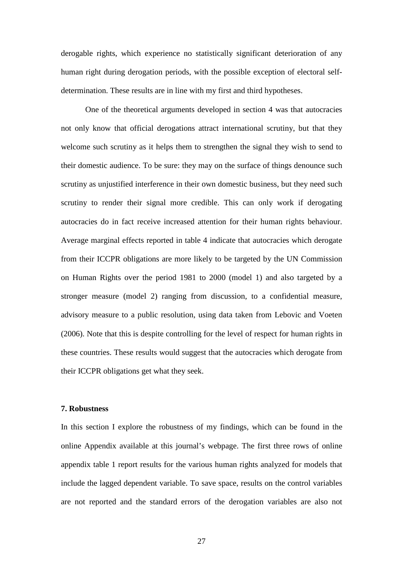derogable rights, which experience no statistically significant deterioration of any human right during derogation periods, with the possible exception of electoral selfdetermination. These results are in line with my first and third hypotheses.

One of the theoretical arguments developed in section 4 was that autocracies not only know that official derogations attract international scrutiny, but that they welcome such scrutiny as it helps them to strengthen the signal they wish to send to their domestic audience. To be sure: they may on the surface of things denounce such scrutiny as unjustified interference in their own domestic business, but they need such scrutiny to render their signal more credible. This can only work if derogating autocracies do in fact receive increased attention for their human rights behaviour. Average marginal effects reported in table 4 indicate that autocracies which derogate from their ICCPR obligations are more likely to be targeted by the UN Commission on Human Rights over the period 1981 to 2000 (model 1) and also targeted by a stronger measure (model 2) ranging from discussion, to a confidential measure, advisory measure to a public resolution, using data taken from Lebovic and Voeten (2006). Note that this is despite controlling for the level of respect for human rights in these countries. These results would suggest that the autocracies which derogate from their ICCPR obligations get what they seek.

### **7. Robustness**

In this section I explore the robustness of my findings, which can be found in the online Appendix available at this journal's webpage. The first three rows of online appendix table 1 report results for the various human rights analyzed for models that include the lagged dependent variable. To save space, results on the control variables are not reported and the standard errors of the derogation variables are also not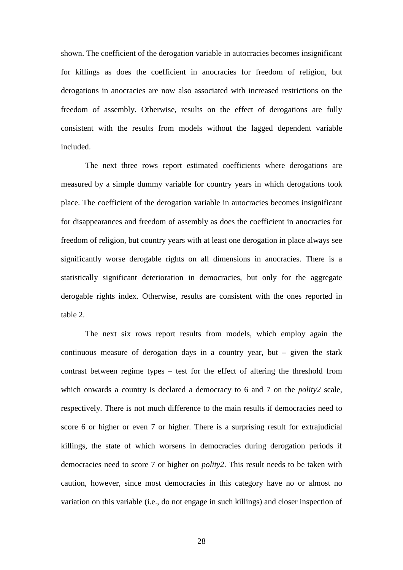shown. The coefficient of the derogation variable in autocracies becomes insignificant for killings as does the coefficient in anocracies for freedom of religion, but derogations in anocracies are now also associated with increased restrictions on the freedom of assembly. Otherwise, results on the effect of derogations are fully consistent with the results from models without the lagged dependent variable included.

The next three rows report estimated coefficients where derogations are measured by a simple dummy variable for country years in which derogations took place. The coefficient of the derogation variable in autocracies becomes insignificant for disappearances and freedom of assembly as does the coefficient in anocracies for freedom of religion, but country years with at least one derogation in place always see significantly worse derogable rights on all dimensions in anocracies. There is a statistically significant deterioration in democracies, but only for the aggregate derogable rights index. Otherwise, results are consistent with the ones reported in table 2.

The next six rows report results from models, which employ again the continuous measure of derogation days in a country year, but – given the stark contrast between regime types – test for the effect of altering the threshold from which onwards a country is declared a democracy to 6 and 7 on the *polity2* scale, respectively. There is not much difference to the main results if democracies need to score 6 or higher or even 7 or higher. There is a surprising result for extrajudicial killings, the state of which worsens in democracies during derogation periods if democracies need to score 7 or higher on *polity2*. This result needs to be taken with caution, however, since most democracies in this category have no or almost no variation on this variable (i.e., do not engage in such killings) and closer inspection of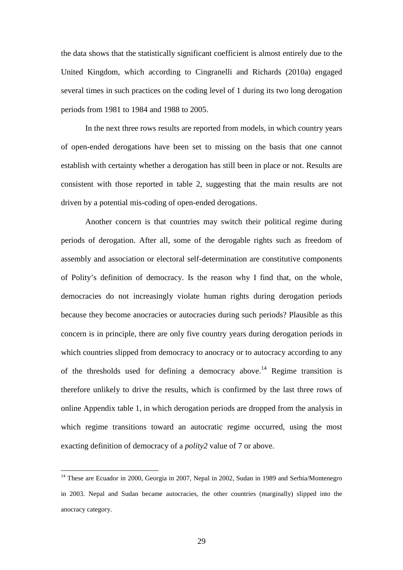the data shows that the statistically significant coefficient is almost entirely due to the United Kingdom, which according to Cingranelli and Richards (2010a) engaged several times in such practices on the coding level of 1 during its two long derogation periods from 1981 to 1984 and 1988 to 2005.

In the next three rows results are reported from models, in which country years of open-ended derogations have been set to missing on the basis that one cannot establish with certainty whether a derogation has still been in place or not. Results are consistent with those reported in table 2, suggesting that the main results are not driven by a potential mis-coding of open-ended derogations.

Another concern is that countries may switch their political regime during periods of derogation. After all, some of the derogable rights such as freedom of assembly and association or electoral self-determination are constitutive components of Polity's definition of democracy. Is the reason why I find that, on the whole, democracies do not increasingly violate human rights during derogation periods because they become anocracies or autocracies during such periods? Plausible as this concern is in principle, there are only five country years during derogation periods in which countries slipped from democracy to anocracy or to autocracy according to any of the thresholds used for defining a democracy above.<sup>14</sup> Regime transition is therefore unlikely to drive the results, which is confirmed by the last three rows of online Appendix table 1, in which derogation periods are dropped from the analysis in which regime transitions toward an autocratic regime occurred, using the most exacting definition of democracy of a *polity2* value of 7 or above.

<sup>&</sup>lt;sup>14</sup> These are Ecuador in 2000, Georgia in 2007, Nepal in 2002, Sudan in 1989 and Serbia/Montenegro in 2003. Nepal and Sudan became autocracies, the other countries (marginally) slipped into the anocracy category.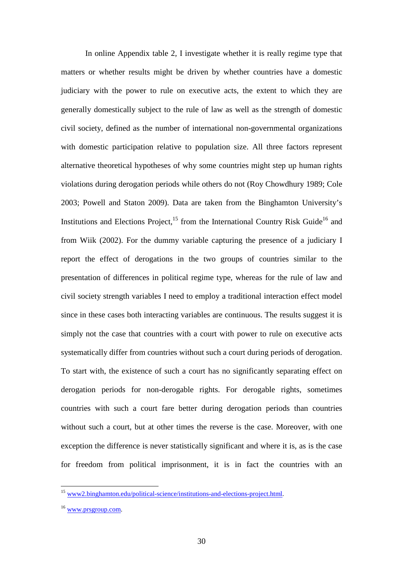In online Appendix table 2, I investigate whether it is really regime type that matters or whether results might be driven by whether countries have a domestic judiciary with the power to rule on executive acts, the extent to which they are generally domestically subject to the rule of law as well as the strength of domestic civil society, defined as the number of international non-governmental organizations with domestic participation relative to population size. All three factors represent alternative theoretical hypotheses of why some countries might step up human rights violations during derogation periods while others do not (Roy Chowdhury 1989; Cole 2003; Powell and Staton 2009). Data are taken from the Binghamton University's Institutions and Elections Project, $^{15}$  from the International Country Risk Guide<sup>16</sup> and from Wiik (2002). For the dummy variable capturing the presence of a judiciary I report the effect of derogations in the two groups of countries similar to the presentation of differences in political regime type, whereas for the rule of law and civil society strength variables I need to employ a traditional interaction effect model since in these cases both interacting variables are continuous. The results suggest it is simply not the case that countries with a court with power to rule on executive acts systematically differ from countries without such a court during periods of derogation. To start with, the existence of such a court has no significantly separating effect on derogation periods for non-derogable rights. For derogable rights, sometimes countries with such a court fare better during derogation periods than countries without such a court, but at other times the reverse is the case. Moreover, with one exception the difference is never statistically significant and where it is, as is the case for freedom from political imprisonment, it is in fact the countries with an

<sup>&</sup>lt;sup>15</sup> www2.binghamton.edu/political-science/institutions-and-elections-project.html.

<sup>&</sup>lt;sup>16</sup> www.prsgroup.com.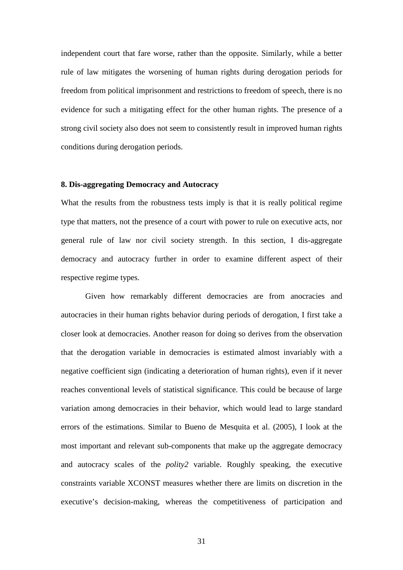independent court that fare worse, rather than the opposite. Similarly, while a better rule of law mitigates the worsening of human rights during derogation periods for freedom from political imprisonment and restrictions to freedom of speech, there is no evidence for such a mitigating effect for the other human rights. The presence of a strong civil society also does not seem to consistently result in improved human rights conditions during derogation periods.

### **8. Dis-aggregating Democracy and Autocracy**

What the results from the robustness tests imply is that it is really political regime type that matters, not the presence of a court with power to rule on executive acts, nor general rule of law nor civil society strength. In this section, I dis-aggregate democracy and autocracy further in order to examine different aspect of their respective regime types.

Given how remarkably different democracies are from anocracies and autocracies in their human rights behavior during periods of derogation, I first take a closer look at democracies. Another reason for doing so derives from the observation that the derogation variable in democracies is estimated almost invariably with a negative coefficient sign (indicating a deterioration of human rights), even if it never reaches conventional levels of statistical significance. This could be because of large variation among democracies in their behavior, which would lead to large standard errors of the estimations. Similar to Bueno de Mesquita et al. (2005), I look at the most important and relevant sub-components that make up the aggregate democracy and autocracy scales of the *polity2* variable. Roughly speaking, the executive constraints variable XCONST measures whether there are limits on discretion in the executive's decision-making, whereas the competitiveness of participation and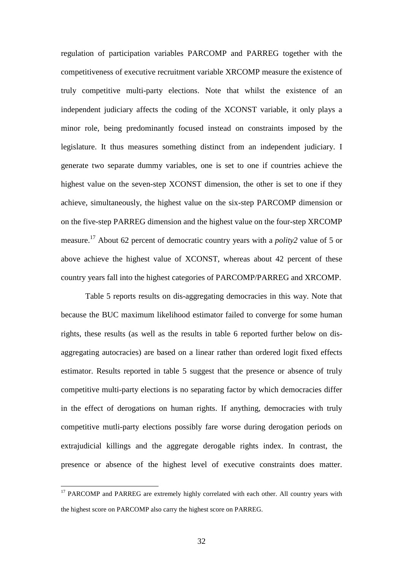regulation of participation variables PARCOMP and PARREG together with the competitiveness of executive recruitment variable XRCOMP measure the existence of truly competitive multi-party elections. Note that whilst the existence of an independent judiciary affects the coding of the XCONST variable, it only plays a minor role, being predominantly focused instead on constraints imposed by the legislature. It thus measures something distinct from an independent judiciary. I generate two separate dummy variables, one is set to one if countries achieve the highest value on the seven-step XCONST dimension, the other is set to one if they achieve, simultaneously, the highest value on the six-step PARCOMP dimension or on the five-step PARREG dimension and the highest value on the four-step XRCOMP measure.<sup>17</sup> About 62 percent of democratic country years with a *polity2* value of 5 or above achieve the highest value of XCONST, whereas about 42 percent of these country years fall into the highest categories of PARCOMP/PARREG and XRCOMP.

Table 5 reports results on dis-aggregating democracies in this way. Note that because the BUC maximum likelihood estimator failed to converge for some human rights, these results (as well as the results in table 6 reported further below on disaggregating autocracies) are based on a linear rather than ordered logit fixed effects estimator. Results reported in table 5 suggest that the presence or absence of truly competitive multi-party elections is no separating factor by which democracies differ in the effect of derogations on human rights. If anything, democracies with truly competitive mutli-party elections possibly fare worse during derogation periods on extrajudicial killings and the aggregate derogable rights index. In contrast, the presence or absence of the highest level of executive constraints does matter.

<sup>&</sup>lt;sup>17</sup> PARCOMP and PARREG are extremely highly correlated with each other. All country years with the highest score on PARCOMP also carry the highest score on PARREG.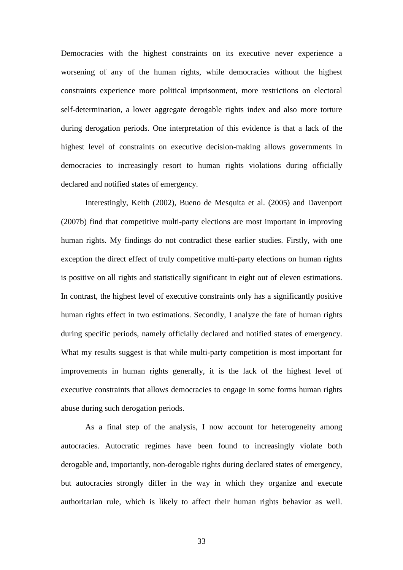Democracies with the highest constraints on its executive never experience a worsening of any of the human rights, while democracies without the highest constraints experience more political imprisonment, more restrictions on electoral self-determination, a lower aggregate derogable rights index and also more torture during derogation periods. One interpretation of this evidence is that a lack of the highest level of constraints on executive decision-making allows governments in democracies to increasingly resort to human rights violations during officially declared and notified states of emergency.

Interestingly, Keith (2002), Bueno de Mesquita et al. (2005) and Davenport (2007b) find that competitive multi-party elections are most important in improving human rights. My findings do not contradict these earlier studies. Firstly, with one exception the direct effect of truly competitive multi-party elections on human rights is positive on all rights and statistically significant in eight out of eleven estimations. In contrast, the highest level of executive constraints only has a significantly positive human rights effect in two estimations. Secondly, I analyze the fate of human rights during specific periods, namely officially declared and notified states of emergency. What my results suggest is that while multi-party competition is most important for improvements in human rights generally, it is the lack of the highest level of executive constraints that allows democracies to engage in some forms human rights abuse during such derogation periods.

As a final step of the analysis, I now account for heterogeneity among autocracies. Autocratic regimes have been found to increasingly violate both derogable and, importantly, non-derogable rights during declared states of emergency, but autocracies strongly differ in the way in which they organize and execute authoritarian rule, which is likely to affect their human rights behavior as well.

33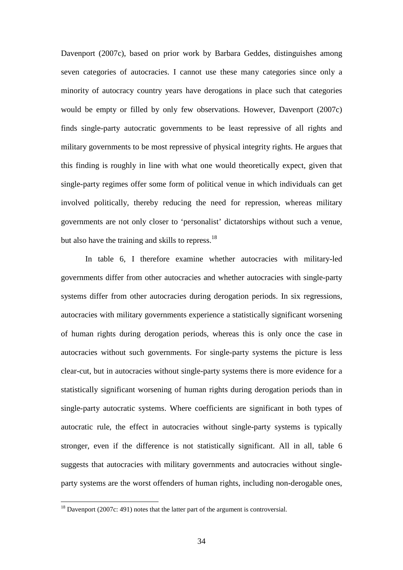Davenport (2007c), based on prior work by Barbara Geddes, distinguishes among seven categories of autocracies. I cannot use these many categories since only a minority of autocracy country years have derogations in place such that categories would be empty or filled by only few observations. However, Davenport (2007c) finds single-party autocratic governments to be least repressive of all rights and military governments to be most repressive of physical integrity rights. He argues that this finding is roughly in line with what one would theoretically expect, given that single-party regimes offer some form of political venue in which individuals can get involved politically, thereby reducing the need for repression, whereas military governments are not only closer to 'personalist' dictatorships without such a venue, but also have the training and skills to repress.<sup>18</sup>

In table 6, I therefore examine whether autocracies with military-led governments differ from other autocracies and whether autocracies with single-party systems differ from other autocracies during derogation periods. In six regressions, autocracies with military governments experience a statistically significant worsening of human rights during derogation periods, whereas this is only once the case in autocracies without such governments. For single-party systems the picture is less clear-cut, but in autocracies without single-party systems there is more evidence for a statistically significant worsening of human rights during derogation periods than in single-party autocratic systems. Where coefficients are significant in both types of autocratic rule, the effect in autocracies without single-party systems is typically stronger, even if the difference is not statistically significant. All in all, table 6 suggests that autocracies with military governments and autocracies without singleparty systems are the worst offenders of human rights, including non-derogable ones,

 $18$  Davenport (2007c: 491) notes that the latter part of the argument is controversial.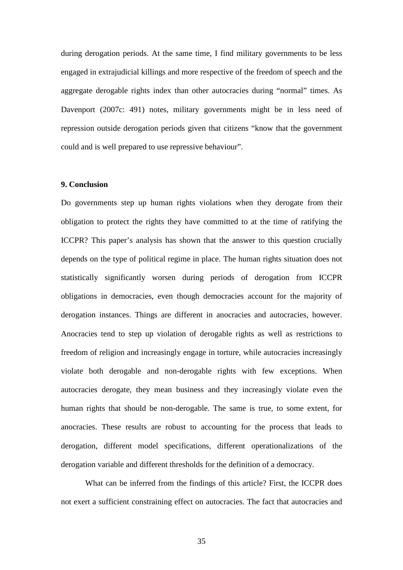during derogation periods. At the same time, I find military governments to be less engaged in extrajudicial killings and more respective of the freedom of speech and the aggregate derogable rights index than other autocracies during "normal" times. As Davenport (2007c: 491) notes, military governments might be in less need of repression outside derogation periods given that citizens "know that the government could and is well prepared to use repressive behaviour".

#### **9. Conclusion**

Do governments step up human rights violations when they derogate from their obligation to protect the rights they have committed to at the time of ratifying the ICCPR? This paper's analysis has shown that the answer to this question crucially depends on the type of political regime in place. The human rights situation does not statistically significantly worsen during periods of derogation from ICCPR obligations in democracies, even though democracies account for the majority of derogation instances. Things are different in anocracies and autocracies, however. Anocracies tend to step up violation of derogable rights as well as restrictions to freedom of religion and increasingly engage in torture, while autocracies increasingly violate both derogable and non-derogable rights with few exceptions. When autocracies derogate, they mean business and they increasingly violate even the human rights that should be non-derogable. The same is true, to some extent, for anocracies. These results are robust to accounting for the process that leads to derogation, different model specifications, different operationalizations of the derogation variable and different thresholds for the definition of a democracy.

What can be inferred from the findings of this article? First, the ICCPR does not exert a sufficient constraining effect on autocracies. The fact that autocracies and

35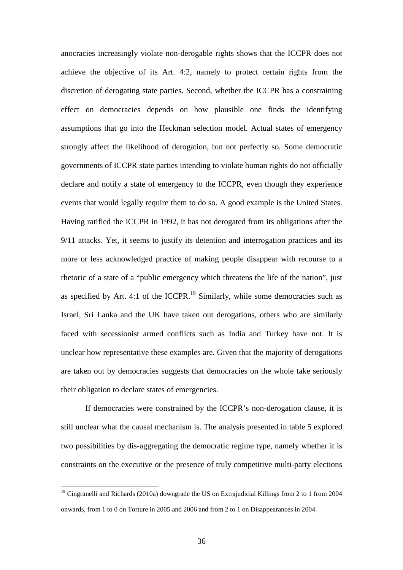anocracies increasingly violate non-derogable rights shows that the ICCPR does not achieve the objective of its Art. 4:2, namely to protect certain rights from the discretion of derogating state parties. Second, whether the ICCPR has a constraining effect on democracies depends on how plausible one finds the identifying assumptions that go into the Heckman selection model. Actual states of emergency strongly affect the likelihood of derogation, but not perfectly so. Some democratic governments of ICCPR state parties intending to violate human rights do not officially declare and notify a state of emergency to the ICCPR, even though they experience events that would legally require them to do so. A good example is the United States. Having ratified the ICCPR in 1992, it has not derogated from its obligations after the 9/11 attacks. Yet, it seems to justify its detention and interrogation practices and its more or less acknowledged practice of making people disappear with recourse to a rhetoric of a state of a "public emergency which threatens the life of the nation", just as specified by Art. 4:1 of the ICCPR.<sup>19</sup> Similarly, while some democracies such as Israel, Sri Lanka and the UK have taken out derogations, others who are similarly faced with secessionist armed conflicts such as India and Turkey have not. It is unclear how representative these examples are. Given that the majority of derogations are taken out by democracies suggests that democracies on the whole take seriously their obligation to declare states of emergencies.

If democracies were constrained by the ICCPR's non-derogation clause, it is still unclear what the causal mechanism is. The analysis presented in table 5 explored two possibilities by dis-aggregating the democratic regime type, namely whether it is constraints on the executive or the presence of truly competitive multi-party elections

<sup>&</sup>lt;sup>19</sup> Cingranelli and Richards (2010a) downgrade the US on Extrajudicial Killings from 2 to 1 from 2004 onwards, from 1 to 0 on Torture in 2005 and 2006 and from 2 to 1 on Disappearances in 2004.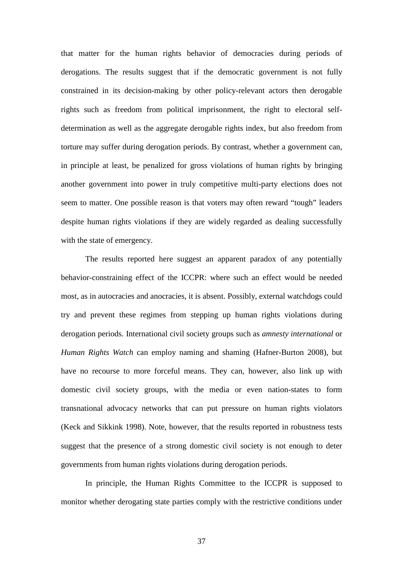that matter for the human rights behavior of democracies during periods of derogations. The results suggest that if the democratic government is not fully constrained in its decision-making by other policy-relevant actors then derogable rights such as freedom from political imprisonment, the right to electoral selfdetermination as well as the aggregate derogable rights index, but also freedom from torture may suffer during derogation periods. By contrast, whether a government can, in principle at least, be penalized for gross violations of human rights by bringing another government into power in truly competitive multi-party elections does not seem to matter. One possible reason is that voters may often reward "tough" leaders despite human rights violations if they are widely regarded as dealing successfully with the state of emergency.

The results reported here suggest an apparent paradox of any potentially behavior-constraining effect of the ICCPR: where such an effect would be needed most, as in autocracies and anocracies, it is absent. Possibly, external watchdogs could try and prevent these regimes from stepping up human rights violations during derogation periods. International civil society groups such as *amnesty international* or *Human Rights Watch* can employ naming and shaming (Hafner-Burton 2008), but have no recourse to more forceful means. They can, however, also link up with domestic civil society groups, with the media or even nation-states to form transnational advocacy networks that can put pressure on human rights violators (Keck and Sikkink 1998). Note, however, that the results reported in robustness tests suggest that the presence of a strong domestic civil society is not enough to deter governments from human rights violations during derogation periods.

In principle, the Human Rights Committee to the ICCPR is supposed to monitor whether derogating state parties comply with the restrictive conditions under

37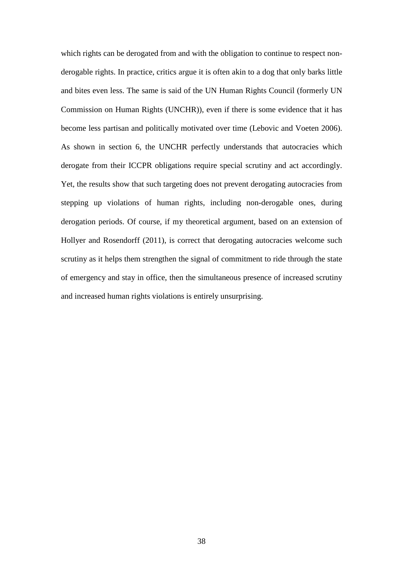which rights can be derogated from and with the obligation to continue to respect nonderogable rights. In practice, critics argue it is often akin to a dog that only barks little and bites even less. The same is said of the UN Human Rights Council (formerly UN Commission on Human Rights (UNCHR)), even if there is some evidence that it has become less partisan and politically motivated over time (Lebovic and Voeten 2006). As shown in section 6, the UNCHR perfectly understands that autocracies which derogate from their ICCPR obligations require special scrutiny and act accordingly. Yet, the results show that such targeting does not prevent derogating autocracies from stepping up violations of human rights, including non-derogable ones, during derogation periods. Of course, if my theoretical argument, based on an extension of Hollyer and Rosendorff (2011), is correct that derogating autocracies welcome such scrutiny as it helps them strengthen the signal of commitment to ride through the state of emergency and stay in office, then the simultaneous presence of increased scrutiny and increased human rights violations is entirely unsurprising.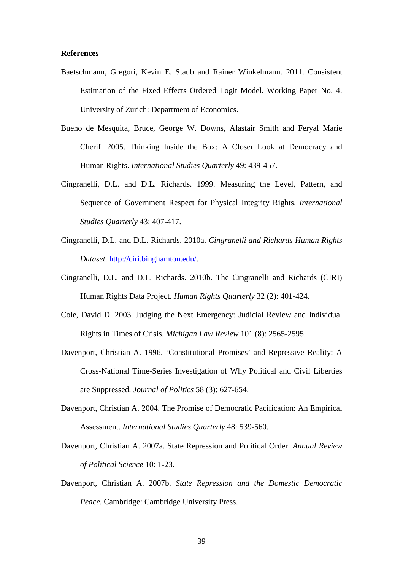### **References**

- Baetschmann, Gregori, Kevin E. Staub and Rainer Winkelmann. 2011. Consistent Estimation of the Fixed Effects Ordered Logit Model. Working Paper No. 4. University of Zurich: Department of Economics.
- Bueno de Mesquita, Bruce, George W. Downs, Alastair Smith and Feryal Marie Cherif. 2005. Thinking Inside the Box: A Closer Look at Democracy and Human Rights. *International Studies Quarterly* 49: 439-457.
- Cingranelli, D.L. and D.L. Richards. 1999. Measuring the Level, Pattern, and Sequence of Government Respect for Physical Integrity Rights. *International Studies Quarterly* 43: 407-417.
- Cingranelli, D.L. and D.L. Richards. 2010a. *Cingranelli and Richards Human Rights Dataset*. http://ciri.binghamton.edu/.
- Cingranelli, D.L. and D.L. Richards. 2010b. The Cingranelli and Richards (CIRI) Human Rights Data Project. *Human Rights Quarterly* 32 (2): 401-424.
- Cole, David D. 2003. Judging the Next Emergency: Judicial Review and Individual Rights in Times of Crisis. *Michigan Law Review* 101 (8): 2565-2595.
- Davenport, Christian A. 1996. 'Constitutional Promises' and Repressive Reality: A Cross-National Time-Series Investigation of Why Political and Civil Liberties are Suppressed. *Journal of Politics* 58 (3): 627-654.
- Davenport, Christian A. 2004. The Promise of Democratic Pacification: An Empirical Assessment. *International Studies Quarterly* 48: 539-560.
- Davenport, Christian A. 2007a. State Repression and Political Order. *Annual Review of Political Science* 10: 1-23.
- Davenport, Christian A. 2007b. *State Repression and the Domestic Democratic Peace*. Cambridge: Cambridge University Press.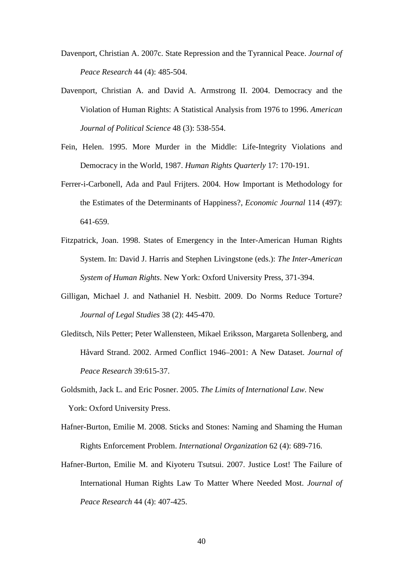- Davenport, Christian A. 2007c. State Repression and the Tyrannical Peace. *Journal of Peace Research* 44 (4): 485-504.
- Davenport, Christian A. and David A. Armstrong II. 2004. Democracy and the Violation of Human Rights: A Statistical Analysis from 1976 to 1996. *American Journal of Political Science* 48 (3): 538-554.
- Fein, Helen. 1995. More Murder in the Middle: Life-Integrity Violations and Democracy in the World, 1987. *Human Rights Quarterly* 17: 170-191.
- Ferrer-i-Carbonell, Ada and Paul Frijters. 2004. How Important is Methodology for the Estimates of the Determinants of Happiness?, *Economic Journal* 114 (497): 641-659.
- Fitzpatrick, Joan. 1998. States of Emergency in the Inter-American Human Rights System. In: David J. Harris and Stephen Livingstone (eds.): *The Inter-American System of Human Rights*. New York: Oxford University Press, 371-394.
- Gilligan, Michael J. and Nathaniel H. Nesbitt. 2009. Do Norms Reduce Torture? *Journal of Legal Studies* 38 (2): 445-470.
- Gleditsch, Nils Petter; Peter Wallensteen, Mikael Eriksson, Margareta Sollenberg, and Håvard Strand. 2002. Armed Conflict 1946–2001: A New Dataset. *Journal of Peace Research* 39:615-37.
- Goldsmith, Jack L. and Eric Posner. 2005. *The Limits of International Law*. New York: Oxford University Press.
- Hafner-Burton, Emilie M. 2008. Sticks and Stones: Naming and Shaming the Human Rights Enforcement Problem. *International Organization* 62 (4): 689-716.
- Hafner-Burton, Emilie M. and Kiyoteru Tsutsui. 2007. Justice Lost! The Failure of International Human Rights Law To Matter Where Needed Most. *Journal of Peace Research* 44 (4): 407-425.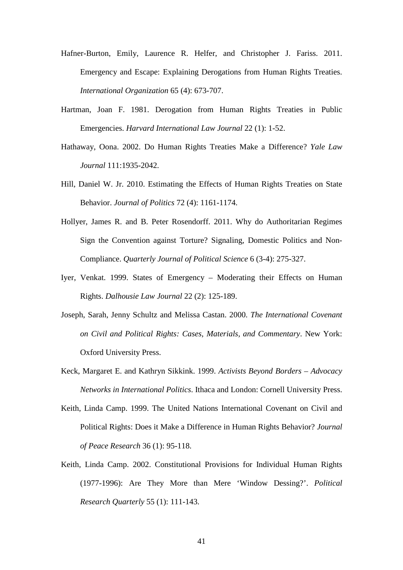- Hafner-Burton, Emily, Laurence R. Helfer, and Christopher J. Fariss. 2011. Emergency and Escape: Explaining Derogations from Human Rights Treaties. *International Organization* 65 (4): 673-707.
- Hartman, Joan F. 1981. Derogation from Human Rights Treaties in Public Emergencies. *Harvard International Law Journal* 22 (1): 1-52.
- Hathaway, Oona. 2002. Do Human Rights Treaties Make a Difference? *Yale Law Journal* 111:1935-2042.
- Hill, Daniel W. Jr. 2010. Estimating the Effects of Human Rights Treaties on State Behavior. *Journal of Politics* 72 (4): 1161-1174.
- Hollyer, James R. and B. Peter Rosendorff. 2011. Why do Authoritarian Regimes Sign the Convention against Torture? Signaling, Domestic Politics and Non-Compliance. *Quarterly Journal of Political Science* 6 (3-4): 275-327.
- Iyer, Venkat. 1999. States of Emergency Moderating their Effects on Human Rights. *Dalhousie Law Journal* 22 (2): 125-189.
- Joseph, Sarah, Jenny Schultz and Melissa Castan. 2000. *The International Covenant on Civil and Political Rights: Cases, Materials, and Commentary*. New York: Oxford University Press.
- Keck, Margaret E. and Kathryn Sikkink. 1999. *Activists Beyond Borders Advocacy Networks in International Politics*. Ithaca and London: Cornell University Press.
- Keith, Linda Camp. 1999. The United Nations International Covenant on Civil and Political Rights: Does it Make a Difference in Human Rights Behavior? *Journal of Peace Research* 36 (1): 95-118.
- Keith, Linda Camp. 2002. Constitutional Provisions for Individual Human Rights (1977-1996): Are They More than Mere 'Window Dessing?'. *Political Research Quarterly* 55 (1): 111-143.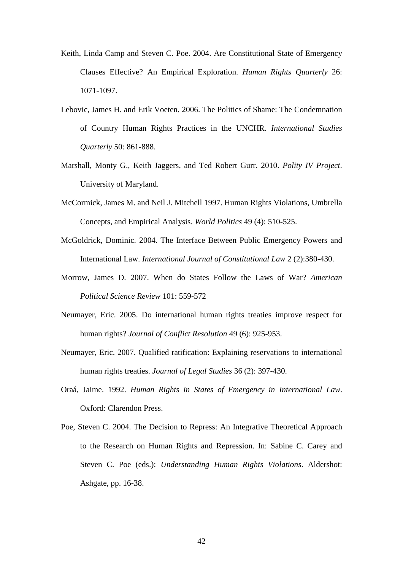- Keith, Linda Camp and Steven C. Poe. 2004. Are Constitutional State of Emergency Clauses Effective? An Empirical Exploration. *Human Rights Quarterly* 26: 1071-1097.
- Lebovic, James H. and Erik Voeten. 2006. The Politics of Shame: The Condemnation of Country Human Rights Practices in the UNCHR. *International Studies Quarterly* 50: 861-888.
- Marshall, Monty G., Keith Jaggers, and Ted Robert Gurr. 2010. *Polity IV Project*. University of Maryland.
- McCormick, James M. and Neil J. Mitchell 1997. Human Rights Violations, Umbrella Concepts, and Empirical Analysis. *World Politics* 49 (4): 510-525.
- McGoldrick, Dominic. 2004. The Interface Between Public Emergency Powers and International Law. *International Journal of Constitutional Law* 2 (2):380-430.
- Morrow, James D. 2007. When do States Follow the Laws of War? *American Political Science Review* 101: 559-572
- Neumayer, Eric. 2005. Do international human rights treaties improve respect for human rights? *Journal of Conflict Resolution* 49 (6): 925-953.
- Neumayer, Eric. 2007. Qualified ratification: Explaining reservations to international human rights treaties. *Journal of Legal Studies* 36 (2): 397-430.
- Oraá, Jaime. 1992. *Human Rights in States of Emergency in International Law*. Oxford: Clarendon Press.
- Poe, Steven C. 2004. The Decision to Repress: An Integrative Theoretical Approach to the Research on Human Rights and Repression. In: Sabine C. Carey and Steven C. Poe (eds.): *Understanding Human Rights Violations*. Aldershot: Ashgate, pp. 16-38.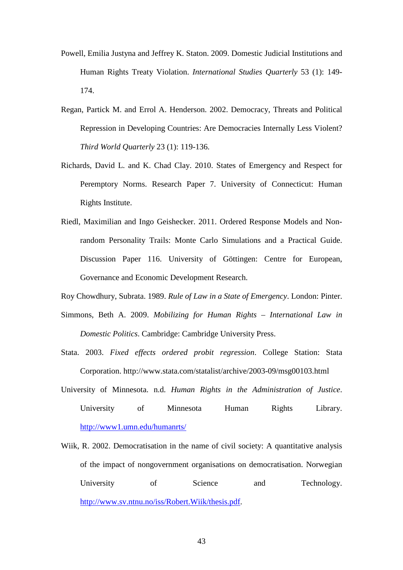- Powell, Emilia Justyna and Jeffrey K. Staton. 2009. Domestic Judicial Institutions and Human Rights Treaty Violation. *International Studies Quarterly* 53 (1): 149- 174.
- Regan, Partick M. and Errol A. Henderson. 2002. Democracy, Threats and Political Repression in Developing Countries: Are Democracies Internally Less Violent? *Third World Quarterly* 23 (1): 119-136.
- Richards, David L. and K. Chad Clay. 2010. States of Emergency and Respect for Peremptory Norms. Research Paper 7. University of Connecticut: Human Rights Institute.
- Riedl, Maximilian and Ingo Geishecker. 2011. Ordered Response Models and Nonrandom Personality Trails: Monte Carlo Simulations and a Practical Guide. Discussion Paper 116. University of Göttingen: Centre for European, Governance and Economic Development Research.

Roy Chowdhury, Subrata. 1989. *Rule of Law in a State of Emergency*. London: Pinter.

- Simmons, Beth A. 2009. *Mobilizing for Human Rights International Law in Domestic Politics*. Cambridge: Cambridge University Press.
- Stata. 2003. *Fixed effects ordered probit regression*. College Station: Stata Corporation. http://www.stata.com/statalist/archive/2003-09/msg00103.html
- University of Minnesota. n.d. *Human Rights in the Administration of Justice*. University of Minnesota Human Rights Library. http://www1.umn.edu/humanrts/
- Wiik, R. 2002. Democratisation in the name of civil society: A quantitative analysis of the impact of nongovernment organisations on democratisation. Norwegian University of Science and Technology. http://www.sv.ntnu.no/iss/Robert.Wiik/thesis.pdf.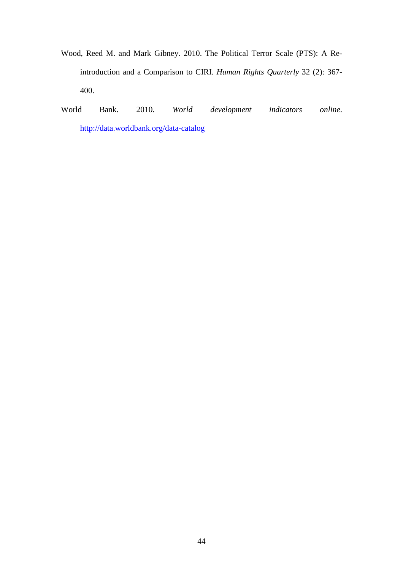- Wood, Reed M. and Mark Gibney. 2010. The Political Terror Scale (PTS): A Reintroduction and a Comparison to CIRI. *Human Rights Quarterly* 32 (2): 367- 400.
- World Bank. 2010. *World development indicators online*. http://data.worldbank.org/data-catalog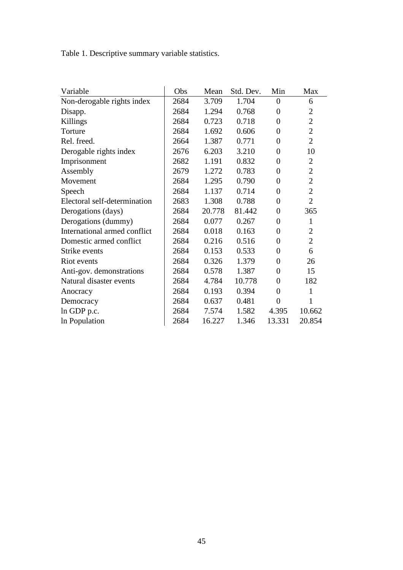Table 1. Descriptive summary variable statistics.

| Variable                     | Obs  | Mean   | Std. Dev. | Min            | Max            |
|------------------------------|------|--------|-----------|----------------|----------------|
| Non-derogable rights index   | 2684 | 3.709  | 1.704     | $\overline{0}$ | 6              |
| Disapp.                      | 2684 | 1.294  | 0.768     | $\theta$       | $\overline{2}$ |
| Killings                     | 2684 | 0.723  | 0.718     | $\overline{0}$ | $\overline{2}$ |
| Torture                      | 2684 | 1.692  | 0.606     | $\overline{0}$ | $\overline{2}$ |
| Rel. freed.                  | 2664 | 1.387  | 0.771     | $\overline{0}$ | $\overline{2}$ |
| Derogable rights index       | 2676 | 6.203  | 3.210     | $\overline{0}$ | 10             |
| Imprisonment                 | 2682 | 1.191  | 0.832     | $\overline{0}$ | $\overline{2}$ |
| Assembly                     | 2679 | 1.272  | 0.783     | $\overline{0}$ | $\overline{2}$ |
| Movement                     | 2684 | 1.295  | 0.790     | $\overline{0}$ | $\overline{2}$ |
| Speech                       | 2684 | 1.137  | 0.714     | $\overline{0}$ | $\overline{2}$ |
| Electoral self-determination | 2683 | 1.308  | 0.788     | $\overline{0}$ | $\overline{2}$ |
| Derogations (days)           | 2684 | 20.778 | 81.442    | $\overline{0}$ | 365            |
| Derogations (dummy)          | 2684 | 0.077  | 0.267     | $\overline{0}$ | $\mathbf{1}$   |
| International armed conflict | 2684 | 0.018  | 0.163     | $\overline{0}$ | $\overline{2}$ |
| Domestic armed conflict      | 2684 | 0.216  | 0.516     | $\overline{0}$ | $\overline{2}$ |
| Strike events                | 2684 | 0.153  | 0.533     | $\theta$       | 6              |
| Riot events                  | 2684 | 0.326  | 1.379     | $\overline{0}$ | 26             |
| Anti-gov. demonstrations     | 2684 | 0.578  | 1.387     | $\overline{0}$ | 15             |
| Natural disaster events      | 2684 | 4.784  | 10.778    | $\theta$       | 182            |
| Anocracy                     | 2684 | 0.193  | 0.394     | $\overline{0}$ | 1              |
| Democracy                    | 2684 | 0.637  | 0.481     | $\overline{0}$ | 1              |
| In GDP p.c.                  | 2684 | 7.574  | 1.582     | 4.395          | 10.662         |
| In Population                | 2684 | 16.227 | 1.346     | 13.331         | 20.854         |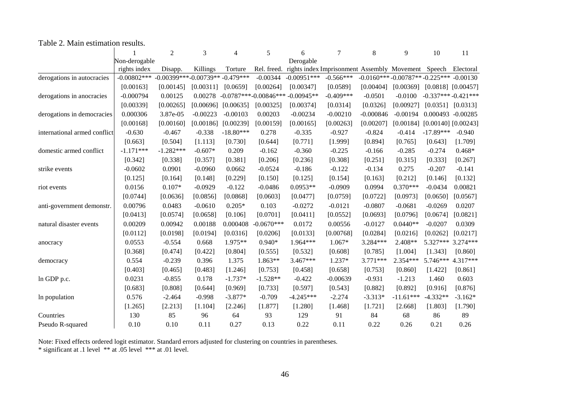## Table 2. Main estimation results.

|                              |                | 2                                | 3          | $\overline{\mathcal{A}}$ | 5                       | 6                                           | 7           | 8                               | 9           | 10                      | 11                     |
|------------------------------|----------------|----------------------------------|------------|--------------------------|-------------------------|---------------------------------------------|-------------|---------------------------------|-------------|-------------------------|------------------------|
|                              | Non-derogable  |                                  |            |                          |                         | Derogable                                   |             |                                 |             |                         |                        |
|                              | rights index   | Disapp.                          | Killings   | Torture                  | Rel. freed.             | rights index Imprisonment Assembly Movement |             |                                 |             | Speech                  | Electoral              |
| derogations in autocracies   | $-0.00802$ *** | $-0.00399***-0.00739**-0.479***$ |            |                          | $-0.00344$              | $-0.00951***$                               | $-0.566***$ | $-0.0160***-0.00787**-0.225***$ |             |                         | $-0.00130$             |
|                              | [0.00163]      | [0.00145]                        | [0.00311]  | [0.0659]                 | [0.00264]               | [0.00347]                                   | [0.0589]    | [0.00404]                       | [0.00369]   |                         | $[0.0818]$ $[0.00457]$ |
| derogations in anocracies    | $-0.000794$    | 0.00125                          | 0.00278    |                          | $-0.0787***-0.00846***$ | $-0.00945**$                                | $-0.409***$ | $-0.0501$                       | $-0.0100$   | $-0.337***-0.421***$    |                        |
|                              | [0.00339]      | [0.00265]                        | [0.00696]  | [0.00635]                | [0.00325]               | [0.00374]                                   | [0.0314]    | [0.0326]                        | [0.00927]   |                         | $[0.0351]$ $[0.0313]$  |
| derogations in democracies   | 0.000306       | 3.87e-05                         | $-0.00223$ | $-0.00103$               | 0.00203                 | $-0.00234$                                  | $-0.00210$  | $-0.000846$                     | $-0.00194$  | 0.000493 -0.00285       |                        |
|                              | [0.00168]      | [0.00160]                        | [0.00186]  | [0.00239]                | [0.00159]               | [0.00165]                                   | [0.00263]   | [0.00207]                       | [0.00184]   | $[0.00140]$ $[0.00243]$ |                        |
| international armed conflict | $-0.630$       | $-0.467$                         | $-0.338$   | $-18.80***$              | 0.278                   | $-0.335$                                    | $-0.927$    | $-0.824$                        | $-0.414$    | $-17.89***$             | $-0.940$               |
|                              | [0.663]        | [0.504]                          | [1.113]    | [0.730]                  | [0.644]                 | [0.771]                                     | [1.999]     | [0.894]                         | [0.765]     | [0.643]                 | [1.709]                |
| domestic armed conflict      | $-1.171***$    | $-1.282***$                      | $-0.607*$  | 0.209                    | $-0.162$                | $-0.360$                                    | $-0.225$    | $-0.166$                        | $-0.285$    | $-0.274$                | $0.468*$               |
|                              | [0.342]        | [0.338]                          | [0.357]    | [0.381]                  | [0.206]                 | [0.236]                                     | [0.308]     | [0.251]                         | [0.315]     | [0.333]                 | [0.267]                |
| strike events                | $-0.0602$      | 0.0901                           | $-0.0960$  | 0.0662                   | $-0.0524$               | $-0.186$                                    | $-0.122$    | $-0.134$                        | 0.275       | $-0.207$                | $-0.141$               |
|                              | [0.125]        | [0.164]                          | [0.148]    | [0.229]                  | [0.150]                 | [0.125]                                     | [0.154]     | [0.163]                         | [0.212]     | [0.146]                 | [0.132]                |
| riot events                  | 0.0156         | $0.107*$                         | $-0.0929$  | $-0.122$                 | $-0.0486$               | $0.0953**$                                  | $-0.0909$   | 0.0994                          | $0.370***$  | $-0.0434$               | 0.00821                |
|                              | [0.0744]       | [0.0636]                         | [0.0856]   | [0.0868]                 | [0.0603]                | [0.0477]                                    | [0.0759]    | [0.0722]                        | [0.0973]    | [0.0650]                | [0.0567]               |
| anti-government demonstr.    | 0.00796        | 0.0483                           | $-0.0610$  | $0.205*$                 | 0.103                   | $-0.0272$                                   | $-0.0121$   | $-0.0807$                       | $-0.0681$   | $-0.0269$               | 0.0207                 |
|                              | [0.0413]       | [0.0574]                         | [0.0658]   | [0.106]                  | [0.0701]                | [0.0411]                                    | [0.0552]    | [0.0693]                        | [0.0796]    | [0.0674]                | [0.0821]               |
| natural disaster events      | 0.00209        | 0.00942                          | 0.00188    | 0.000408                 | $-0.0670***$            | 0.0172                                      | 0.00556     | $-0.0127$                       | $0.0440**$  | $-0.0207$               | 0.0309                 |
|                              | [0.0112]       | [0.0198]                         | [0.0194]   | [0.0316]                 | [0.0206]                | [0.0133]                                    | [0.00768]   | [0.0284]                        | [0.0216]    | [0.0262]                | [0.0217]               |
| anocracy                     | 0.0553         | $-0.554$                         | 0.668      | $1.975**$                | $0.940*$                | $1.964***$                                  | 1.067*      | 3.284***                        | 2.408**     | 5.327***                | $3.274***$             |
|                              | [0.368]        | [0.474]                          | [0.422]    | [0.804]                  | [0.555]                 | [0.532]                                     | [0.608]     | [0.785]                         | [1.004]     | [1.343]                 | [0.860]                |
| democracy                    | 0.554          | $-0.239$                         | 0.396      | 1.375                    | $1.863**$               | $3.467***$                                  | 1.237*      | 3.771***                        | 2.354***    | 5.746***                | 4.317***               |
|                              | [0.403]        | [0.465]                          | [0.483]    | [1.246]                  | [0.753]                 | [0.458]                                     | [0.658]     | [0.753]                         | [0.860]     | [1.422]                 | [0.861]                |
| In GDP p.c.                  | 0.0231         | $-0.855$                         | 0.178      | $-1.737*$                | $-1.528**$              | $-0.422$                                    | $-0.00639$  | $-0.931$                        | $-1.213$    | 1.460                   | 0.603                  |
|                              | [0.683]        | [0.808]                          | [0.644]    | [0.969]                  | [0.733]                 | [0.597]                                     | [0.543]     | [0.882]                         | [0.892]     | [0.916]                 | [0.876]                |
|                              | 0.576          | $-2.464$                         | $-0.998$   | $-3.877*$                | $-0.709$                | $-4.245***$                                 | $-2.274$    | $-3.313*$                       | $-11.61***$ | $-4.332**$              | $-3.162*$              |
| In population                | [1.265]        | [2.213]                          | [1.104]    | [2.246]                  | [1.877]                 | [1.280]                                     | [1.468]     | [1.721]                         | [2.668]     | [1.803]                 | [1.790]                |
| Countries                    | 130            | 85                               | 96         | 64                       | 93                      | 129                                         | 91          | 84                              | 68          | 86                      | 89                     |
|                              |                |                                  |            |                          |                         |                                             |             |                                 |             |                         |                        |
| Pseudo R-squared             | 0.10           | 0.10                             | 0.11       | 0.27                     | 0.13                    | 0.22                                        | 0.11        | 0.22                            | 0.26        | 0.21                    | 0.26                   |

Note: Fixed effects ordered logit estimator. Standard errors adjusted for clustering on countries in parentheses.<br>\* significant at .1 level \*\* at .05 level \*\*\* at .01 level.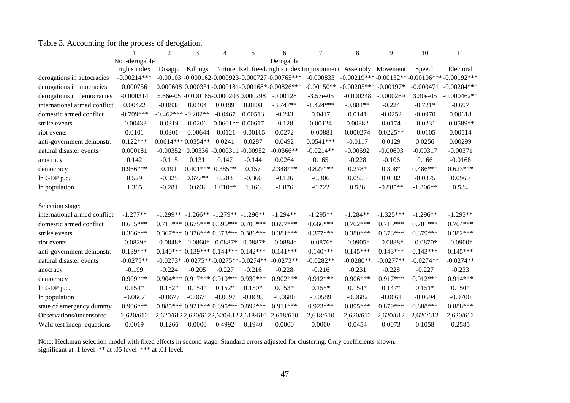|                              |               | $\overline{c}$         | 3          | 4                                           | 5          | 6                                                               | 7            | 8                         | 9           | 10          | 11                                            |
|------------------------------|---------------|------------------------|------------|---------------------------------------------|------------|-----------------------------------------------------------------|--------------|---------------------------|-------------|-------------|-----------------------------------------------|
|                              | Non-derogable |                        |            |                                             |            | Derogable                                                       |              |                           |             |             |                                               |
|                              | rights index  | Disapp.                | Killings   |                                             |            | Torture Rel. freed. rights index Imprisonment Assembly Movement |              |                           |             | Speech      | Electoral                                     |
| derogations in autocracies   | $-0.00214***$ |                        |            |                                             |            | $-0.00103 - 0.000162 - 0.000923 - 0.000727 - 0.00765$ ***       | $-0.000833$  |                           |             |             | $-0.00219***-0.00132**-0.00106***-0.00192***$ |
| derogations in anocracies    | 0.000756      |                        |            |                                             |            | 0.000608 0.000331 -0.000181 -0.00168* -0.00826***               | $-0.00150**$ | $-0.00205***$ $-0.00197*$ |             | $-0.000471$ | $-0.00204***$                                 |
| derogations in democracies   | $-0.000314$   |                        |            | 5.66e-05 -0.000185-0.000203 0.000298        |            | $-0.00128$                                                      | $-3.57e-05$  | $-0.000248$               | $-0.000269$ | 3.30e-05    | $-0.000462**$                                 |
| international armed conflict | 0.00422       | $-0.0838$              | 0.0404     | 0.0389                                      | 0.0108     | $-3.747**$                                                      | $-1.424***$  | $-0.884**$                | $-0.224$    | $-0.721*$   | $-0.697$                                      |
| domestic armed conflict      | $-0.709***$   | $-0.462***$ $-0.202**$ |            | $-0.0467$                                   | 0.00513    | $-0.243$                                                        | 0.0417       | 0.0141                    | $-0.0252$   | $-0.0970$   | 0.00618                                       |
| strike events                | $-0.00433$    | 0.0319                 | 0.0206     | $-0.0601**$                                 | 0.00617    | $-0.128$                                                        | 0.00124      | 0.00882                   | 0.0174      | $-0.0231$   | $-0.0589**$                                   |
| riot events                  | 0.0101        | 0.0301                 | $-0.00644$ | $-0.0121$                                   | $-0.00165$ | 0.0272                                                          | $-0.00881$   | 0.000274                  | $0.0225**$  | $-0.0105$   | 0.00514                                       |
| anti-government demonstr.    | $0.122***$    | $0.0614***0.0354**$    |            | 0.0241                                      | 0.0287     | 0.0492                                                          | $0.0541***$  | $-0.0117$                 | 0.0129      | 0.0256      | 0.00299                                       |
| natural disaster events      | 0.000181      | $-0.00352$             |            | 0.00336 -0.000311 -0.00952                  |            | $-0.0366**$                                                     | $-0.0214**$  | $-0.00592$                | $-0.00693$  | $-0.00317$  | $-0.00371$                                    |
| anocracy                     | 0.142         | $-0.115$               | 0.131      | 0.147                                       | $-0.144$   | 0.0264                                                          | 0.165        | $-0.228$                  | $-0.106$    | 0.166       | $-0.0168$                                     |
| democracy                    | $0.966***$    | 0.191                  | $0.401***$ | $0.385**$                                   | 0.157      | 2.348***                                                        | $0.827***$   | $0.278*$                  | $0.308*$    | $0.486***$  | $0.623***$                                    |
| ln GDP p.c.                  | 0.529         | $-0.325$               | $0.677**$  | 0.208                                       | $-0.360$   | $-0.126$                                                        | $-0.306$     | 0.0555                    | 0.0382      | $-0.0375$   | 0.0960                                        |
| In population                | 1.365         | $-0.281$               | 0.698      | $1.010**$                                   | 1.166      | $-1.876$                                                        | $-0.722$     | 0.538                     | $-0.885**$  | $-1.306**$  | 0.534                                         |
| Selection stage:             |               |                        |            |                                             |            |                                                                 |              |                           |             |             |                                               |
| international armed conflict | $-1.277**$    | $-1.299**$             |            | $-1.266** -1.279**$                         | $-1.296**$ | $-1.294**$                                                      | $-1.295**$   | $-1.284**$                | $-1.325***$ | $-1.296**$  | $-1.293**$                                    |
| domestic armed conflict      | $0.685***$    |                        |            | $0.713***$ $0.675***$ $0.696***$ $0.705***$ |            | $0.697***$                                                      | $0.666***$   | $0.702***$                | $0.715***$  | $0.701***$  | $0.704***$                                    |
| strike events                | $0.366***$    |                        |            | $0.367***$ $0.376***$ $0.378***$ $0.386***$ |            | $0.381***$                                                      | $0.377***$   | $0.380***$                | $0.373***$  | $0.379***$  | $0.382***$                                    |
| riot events                  | $-0.0829*$    | $-0.0848*$             |            | $-0.0860* -0.0887*$                         | $-0.0887*$ | $-0.0884*$                                                      | $-0.0876*$   | $-0.0905*$                | $-0.0888*$  | $-0.0870*$  | $-0.0900*$                                    |
| anti-government demonstr.    | $0.139***$    |                        |            | $0.140***$ $0.139***$ $0.144***$ $0.142***$ |            | $0.141***$                                                      | $0.140***$   | $0.145***$                | $0.143***$  | $0.143***$  | $0.145***$                                    |
| natural disaster events      | $-0.0275**$   |                        |            | $-0.0273* -0.0275** -0.0275** -0.0274**$    |            | $-0.0273**$                                                     | $-0.0282**$  | $-0.0280**$               | $-0.0277**$ | $-0.0274**$ | $-0.0274**$                                   |
| anocracy                     | $-0.199$      | $-0.224$               | $-0.205$   | $-0.227$                                    | $-0.216$   | $-0.228$                                                        | $-0.216$     | $-0.231$                  | $-0.228$    | $-0.227$    | $-0.233$                                      |
| democracy                    | $0.909***$    |                        |            | $0.904***0.917***0.910***0.930***$          |            | $0.902***$                                                      | $0.912***$   | $0.906***$                | $0.917***$  | $0.912***$  | $0.914***$                                    |
| ln GDP p.c.                  | $0.154*$      | $0.152*$               | $0.154*$   | $0.152*$                                    | $0.150*$   | $0.153*$                                                        | $0.155*$     | $0.154*$                  | $0.147*$    | $0.151*$    | $0.150*$                                      |
| In population                | $-0.0667$     | $-0.0677$              | $-0.0675$  | $-0.0697$                                   | $-0.0695$  | $-0.0680$                                                       | $-0.0589$    | $-0.0682$                 | $-0.0661$   | $-0.0694$   | $-0.0700$                                     |
| state of emergency dummy     | $0.906***$    | $0.885***$             |            | $0.921***0.895***$                          | $0.892***$ | $0.911***$                                                      | $0.923***$   | $0.895***$                | $0.879***$  | $0.888***$  | $0.888***$                                    |
| Observations/uncensored      | 2,620/612     |                        |            | 2,620/6122,620/6122,620/6122,618/610        |            | 2,618/610                                                       | 2,618/610    | 2,620/612                 | 2,620/612   | 2,620/612   | 2,620/612                                     |
| Wald-test indep. equations   | 0.0019        | 0.1266                 | 0.0000     | 0.4992                                      | 0.1940     | 0.0000                                                          | 0.0000       | 0.0454                    | 0.0073      | 0.1058      | 0.2585                                        |

Table 3. Accounting for the process of derogation.

Note: Heckman selection model with fixed effects in second stage. Standard errors adjusted for clustering. Only coefficients shown. significant at .1 level \*\* at .05 level \*\*\* at .01 level.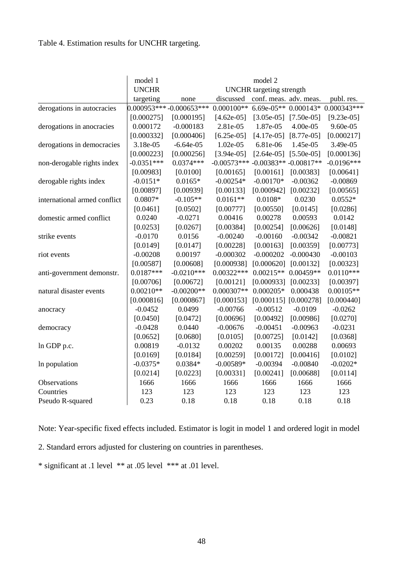# Table 4. Estimation results for UNCHR targeting.

|                              | model 1      | model 2                  |               |                                 |                           |               |  |  |  |  |
|------------------------------|--------------|--------------------------|---------------|---------------------------------|---------------------------|---------------|--|--|--|--|
|                              | <b>UNCHR</b> |                          |               | <b>UNCHR</b> targeting strength |                           |               |  |  |  |  |
|                              | targeting    | none                     | discussed     | conf. meas. adv. meas.          |                           | publ. res.    |  |  |  |  |
| derogations in autocracies   |              | 0.000953*** -0.000653*** | $0.000100**$  |                                 | 6.69e-05** $0.000143*$    | $0.000343***$ |  |  |  |  |
|                              | [0.000275]   | [0.000195]               | $[4.62e-05]$  | $[3.05e-05]$                    | $[7.50e-05]$              | $[9.23e-05]$  |  |  |  |  |
| derogations in anocracies    | 0.000172     | $-0.000183$              | 2.81e-05      | 1.87e-05                        | 4.00e-05                  | 9.60e-05      |  |  |  |  |
|                              | [0.000332]   | [0.000406]               | $[6.25e-05]$  | $[4.17e-05]$                    | $[8.77e-05]$              | [0.000217]    |  |  |  |  |
| derogations in democracies   | 3.18e-05     | $-6.64e-05$              | 1.02e-05      | 6.81e-06                        | 1.45e-05                  | 3.49e-05      |  |  |  |  |
|                              | [0.000223]   | [0.000256]               | $[3.94e-05]$  | $[2.64e-05]$                    | $[5.50e-05]$              | [0.000136]    |  |  |  |  |
| non-derogable rights index   | $-0.0351***$ | $0.0374***$              | $-0.00573***$ |                                 | $-0.00383** -0.00817**$   | $-0.0196***$  |  |  |  |  |
|                              | [0.00983]    | [0.0100]                 | [0.00165]     | [0.00161]                       | [0.00383]                 | [0.00641]     |  |  |  |  |
| derogable rights index       | $-0.0151*$   | $0.0165*$                | $-0.00254*$   | $-0.00170*$                     | $-0.00362$                | $-0.00869$    |  |  |  |  |
|                              | [0.00897]    | [0.00939]                | [0.00133]     | [0.000942]                      | [0.00232]                 | [0.00565]     |  |  |  |  |
| international armed conflict | $0.0807*$    | $-0.105**$               | $0.0161**$    | $0.0108*$                       | 0.0230                    | $0.0552*$     |  |  |  |  |
|                              | [0.0461]     | [0.0502]                 | [0.00777]     | [0.00550]                       | [0.0145]                  | [0.0286]      |  |  |  |  |
| domestic armed conflict      | 0.0240       | $-0.0271$                | 0.00416       | 0.00278                         | 0.00593                   | 0.0142        |  |  |  |  |
|                              | [0.0253]     | [0.0267]                 | [0.00384]     | [0.00254]                       | [0.00626]                 | [0.0148]      |  |  |  |  |
| strike events                | $-0.0170$    | 0.0156                   | $-0.00240$    | $-0.00160$                      | $-0.00342$                | $-0.00821$    |  |  |  |  |
|                              | [0.0149]     | [0.0147]                 | [0.00228]     | [0.00163]                       | [0.00359]                 | [0.00773]     |  |  |  |  |
| riot events                  | $-0.00208$   | 0.00197                  | $-0.000302$   | $-0.000202$                     | $-0.000430$               | $-0.00103$    |  |  |  |  |
|                              | [0.00587]    | [0.00608]                | [0.000938]    | [0.000620]                      | [0.00132]                 | [0.00323]     |  |  |  |  |
| anti-government demonstr.    | $0.0187***$  | $-0.0210***$             | $0.00322***$  | $0.00215**$                     | $0.00459**$               | $0.0110***$   |  |  |  |  |
|                              | [0.00706]    | [0.00672]                | [0.00121]     | [0.000933]                      | [0.00233]                 | [0.00397]     |  |  |  |  |
| natural disaster events      | $0.00210**$  | $-0.00200**$             | $0.000307**$  | $0.000205*$                     | 0.000438                  | $0.00105**$   |  |  |  |  |
|                              | [0.000816]   | [0.000867]               | [0.000153]    |                                 | $[0.000115]$ $[0.000278]$ | [0.000440]    |  |  |  |  |
| anocracy                     | $-0.0452$    | 0.0499                   | $-0.00766$    | $-0.00512$                      | $-0.0109$                 | $-0.0262$     |  |  |  |  |
|                              | [0.0450]     | [0.0472]                 | [0.00696]     | [0.00492]                       | [0.00986]                 | [0.0270]      |  |  |  |  |
| democracy                    | $-0.0428$    | 0.0440                   | $-0.00676$    | $-0.00451$                      | $-0.00963$                | $-0.0231$     |  |  |  |  |
|                              | [0.0652]     | [0.0680]                 | [0.0105]      | [0.00725]                       | [0.0142]                  | [0.0368]      |  |  |  |  |
| In GDP p.c.                  | 0.00819      | $-0.0132$                | 0.00202       | 0.00135                         | 0.00288                   | 0.00693       |  |  |  |  |
|                              | [0.0169]     | [0.0184]                 | [0.00259]     | [0.00172]                       | [0.00416]                 | [0.0102]      |  |  |  |  |
| In population                | $-0.0375*$   | $0.0384*$                | $-0.00589*$   | $-0.00394$                      | $-0.00840$                | $-0.0202*$    |  |  |  |  |
|                              | [0.0214]     | [0.0223]                 | [0.00331]     | [0.00241]                       | [0.00688]                 | [0.0114]      |  |  |  |  |
| Observations                 | 1666         | 1666                     | 1666          | 1666                            | 1666                      | 1666          |  |  |  |  |
| Countries                    | 123          | 123                      | 123           | 123                             | 123                       | 123           |  |  |  |  |
| Pseudo R-squared             | 0.23         | 0.18                     | 0.18          | 0.18                            | 0.18                      | 0.18          |  |  |  |  |

Note: Year-specific fixed effects included. Estimator is logit in model 1 and ordered logit in model

2. Standard errors adjusted for clustering on countries in parentheses.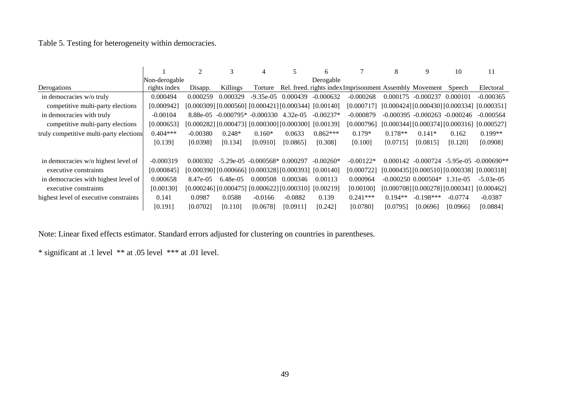Table 5. Testing for heterogeneity within democracies.

|                                         |               | 2          | 3                                                               | 4            | 5         | 6           |                                                         | 8         | 9                                 | 10        | 11                                            |
|-----------------------------------------|---------------|------------|-----------------------------------------------------------------|--------------|-----------|-------------|---------------------------------------------------------|-----------|-----------------------------------|-----------|-----------------------------------------------|
|                                         | Non-derogable |            |                                                                 |              |           | Derogable   |                                                         |           |                                   |           |                                               |
| Derogations                             | rights index  | Disapp.    | Killings                                                        | Torture      |           |             | Rel. freed. rights index Imprisonment Assembly Movement |           |                                   | Speech    | Electoral                                     |
| in democracies w/o truly                | 0.000494      | 0.000259   | 0.000329                                                        | $-9.35e-0.5$ | 0.000439  | $-0.000632$ | $-0.000268$                                             | 0.000175  | $-0.000237$                       | 0.000101  | $-0.000365$                                   |
| competitive multi-party elections       | [0.000942]    |            | $[0.000309]$ $[0.000560]$ $[0.000421]$ $[0.000344]$ $[0.00140]$ |              |           |             | [0.000717]                                              |           | [0.000424] [0.000430] [0.000334]  |           | [0.000351]                                    |
| in democracies with truly               | $-0.00104$    | 8.88e-05   | $-0.000795* -0.000330 \quad 4.32e-05$                           |              |           | $-0.00237*$ | $-0.000879$                                             |           | $-0.000395 - 0.000263 - 0.000246$ |           | $-0.000564$                                   |
| competitive multi-party elections       | [0.000653]    |            | $[0.000282]$ $[0.000473]$ $[0.000300]$ $[0.000300]$ $[0.00139]$ |              |           |             | [0.000796]                                              |           | [0.000344] [0.000374] [0.000316]  |           | [0.000527]                                    |
| truly competitive multi-party elections | $0.404***$    | $-0.00380$ | $0.248*$                                                        | $0.160*$     | 0.0633    | $0.862***$  | $0.179*$                                                | $0.178**$ | $0.141*$                          | 0.162     | $0.199**$                                     |
|                                         | [0.139]       | [0.0398]   | [0.134]                                                         | [0.0910]     | [0.0865]  | [0.308]     | [0.100]                                                 | [0.0715]  | [0.0815]                          | [0.120]   | [0.0908]                                      |
| in democracies w/o highest level of     | $-0.000319$   | 0.000302   | $-5.29e-05$ $-0.000568*$ 0.000297                               |              |           | $-0.00260*$ | $-0.00122*$                                             |           |                                   |           | $0.000142 - 0.000724 - 5.95e-05 - 0.000690**$ |
| executive constraints                   | [0.000845]    |            | $[0.000390]$ $[0.000666]$ $[0.000328]$ $[0.000393]$ $[0.00140]$ |              |           |             | [0.000722]                                              |           |                                   |           | $[0.000435][0.000510][0.000338][0.000318]$    |
| in democracies with highest level of    | 0.000658      | 8.47e-05   | $6.48e-0.5$                                                     | 0.000508     | 0.000346  | 0.00113     | 0.000964                                                |           | $-0.000250$ $0.000504*$ 1.31e-05  |           | $-5.03e-05$                                   |
| executive constraints                   | [0.00130]     |            | $[0.000246]$ $[0.000475]$ $[0.000622]$ $[0.000310]$ $[0.00219]$ |              |           |             | [0.00100]                                               |           | [0.000708] [0.000278] [0.000341]  |           | [0.000462]                                    |
| highest level of executive constraints  | 0.141         | 0.0987     | 0.0588                                                          | $-0.0166$    | $-0.0882$ | 0.139       | $0.241***$                                              | $0.194**$ | $-0.198***$                       | $-0.0774$ | $-0.0387$                                     |
|                                         | [0.191]       | [0.0702]   | [0.110]                                                         | [0.0678]     | [0.0911]  | [0.242]     | [0.0780]                                                | [0.0795]  | [0.0696]                          | [0.0966]  | [0.0884]                                      |

Note: Linear fixed effects estimator. Standard errors adjusted for clustering on countries in parentheses.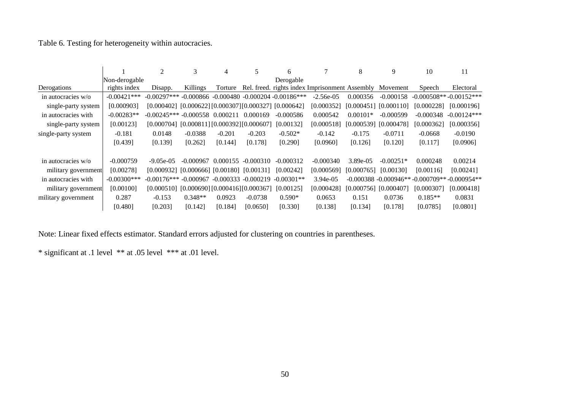Table 6. Testing for heterogeneity within autocracies.

|                     |                | $\overline{2}$                                                   | 3                                | 4        |                        | 6                                               |                                                         | 8          | 9                         | 10          | 11                                                 |
|---------------------|----------------|------------------------------------------------------------------|----------------------------------|----------|------------------------|-------------------------------------------------|---------------------------------------------------------|------------|---------------------------|-------------|----------------------------------------------------|
|                     | Non-derogable  |                                                                  |                                  |          |                        | Derogable                                       |                                                         |            |                           |             |                                                    |
| Derogations         | rights index   | Disapp.                                                          | Killings                         | Torture  |                        |                                                 | Rel. freed. rights index Imprisonment Assembly Movement |            |                           | Speech      | Electoral                                          |
| in autocracies w/o  | $-0.00421***$  | $-0.00297***$                                                    |                                  |          |                        | $-0.000866 - 0.000480 - 0.000204 - 0.00186$ *** | $-2.56e-05$                                             | 0.000356   | $-0.000158$               |             | $-0.000508**-0.00152***$                           |
| single-party system | [0.000903]     | $[0.000402]$ $[0.000622]$ $[0.000307]$ $[0.000327]$ $[0.000642]$ |                                  |          |                        |                                                 | [0.000352]                                              |            | $[0.000451]$ $[0.000110]$ | [0.000228]  | [0.000196]                                         |
| in autocracies with | $-0.00283**$   | $-0.00245***$ $-0.000558$ $0.000211$                             |                                  |          | 0.000169               | $-0.000586$                                     | 0.000542                                                | $0.00101*$ | $-0.000599$               | $-0.000348$ | $-0.00124***$                                      |
| single-party system | [0.00123]      | [0.000704]                                                       | [0.000811] [0.000392] [0.000607] |          |                        | [0.00132]                                       | [0.000518]                                              |            | $[0.000539]$ $[0.000478]$ | [0.000362]  | [0.000356]                                         |
| single-party system | $-0.181$       | 0.0148                                                           | $-0.0388$                        | $-0.201$ | $-0.203$               | $-0.502*$                                       | $-0.142$                                                | $-0.175$   | $-0.0711$                 | $-0.0668$   | $-0.0190$                                          |
|                     | [0.439]        | [0.139]                                                          | [0.262]                          | [0.144]  | [0.178]                | [0.290]                                         | [0.0960]                                                | [0.126]    | [0.120]                   | [0.117]     | [0.0906]                                           |
|                     |                |                                                                  |                                  |          |                        |                                                 |                                                         |            |                           |             |                                                    |
| in autocracies w/o  | $-0.000759$    | $-9.05e-0.5$                                                     | $-0.000967$                      | 0.000155 | $-0.000310$            | $-0.000312$                                     | $-0.000340$                                             | 3.89e-05   | $-0.00251*$               | 0.000248    | 0.00214                                            |
| military government | [0.00278]      | $[0.000932]$ $[0.000666]$ $[0.00180]$ $[0.00131]$                |                                  |          |                        | [0.00242]                                       | [0.000569]                                              | [0.000765] | [0.00130]                 | [0.00116]   | [0.00241]                                          |
| in autocracies with | $-0.00300$ *** | $-0.00176***$ $-0.000967$                                        |                                  |          | $-0.000333 - 0.000219$ | $-0.00301**$                                    | 3.94e-05                                                |            |                           |             | $-0.000388 - 0.000946** - 0.000709** - 0.000954**$ |
| military government | [0.00100]      | [0.000510]                                                       | [0.000690] [0.000416] [0.000367] |          |                        | [0.00125]                                       | [0.000428]                                              |            | $[0.000756]$ $[0.000407]$ | [0.000307]  | [0.000418]                                         |
| military government | 0.287          | $-0.153$                                                         | $0.348**$                        | 0.0923   | $-0.0738$              | $0.590*$                                        | 0.0653                                                  | 0.151      | 0.0736                    | $0.185**$   | 0.0831                                             |
|                     | [0.480]        | [0.203]                                                          | [0.142]                          | [0.184]  | [0.0650]               | [0.330]                                         | [0.138]                                                 | [0.134]    | [0.178]                   | [0.0785]    | [0.0801]                                           |

Note: Linear fixed effects estimator. Standard errors adjusted for clustering on countries in parentheses.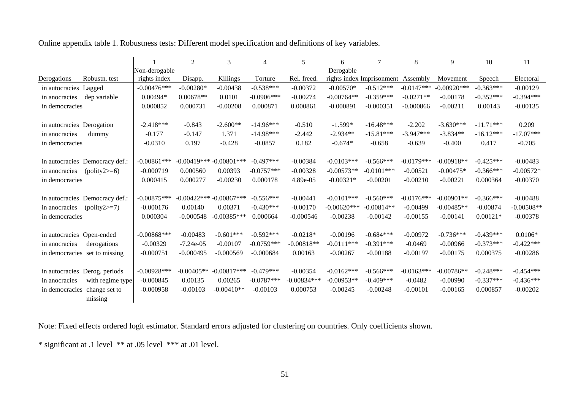Online appendix table 1. Robustness tests: Different model specification and definitions of key variables.

|                                   |                | 2            | 3                         | 4             | 5             | 6             |                                    | 8            | 9              | 10          | 11           |
|-----------------------------------|----------------|--------------|---------------------------|---------------|---------------|---------------|------------------------------------|--------------|----------------|-------------|--------------|
|                                   | Non-derogable  |              |                           |               |               | Derogable     |                                    |              |                |             |              |
| Derogations<br>Robustn. test      | rights index   | Disapp.      | Killings                  | Torture       | Rel. freed.   |               | rights index Imprisonment Assembly |              | Movement       | Speech      | Electoral    |
| in autocracies Lagged             | $-0.00476$ *** | $-0.00280*$  | $-0.00438$                | $-0.538***$   | $-0.00372$    | $-0.00570*$   | $-0.512***$                        | $-0.0147***$ | $-0.00920$ *** | $-0.363***$ | $-0.00129$   |
| dep variable<br>in anocracies     | $0.00494*$     | $0.00678**$  | 0.0101                    | $-0.0906$ *** | $-0.00274$    | $-0.00764**$  | $-0.359***$                        | $-0.0271**$  | $-0.00178$     | $-0.352***$ | $-0.394***$  |
| in democracies                    | 0.000852       | 0.000731     | $-0.00208$                | 0.000871      | 0.000861      | $-0.000891$   | $-0.000351$                        | $-0.000866$  | $-0.00211$     | 0.00143     | $-0.00135$   |
|                                   |                |              |                           |               |               |               |                                    |              |                |             |              |
| in autocracies Derogation         | $-2.418***$    | $-0.843$     | $-2.600**$                | $-14.96***$   | $-0.510$      | $-1.599*$     | $-16.48***$                        | $-2.202$     | $-3.630***$    | $-11.71***$ | 0.209        |
| dummy<br>in anocracies            | $-0.177$       | $-0.147$     | 1.371                     | $-14.98***$   | $-2.442$      | $-2.934**$    | $-15.81***$                        | $-3.947***$  | $-3.834**$     | $-16.12***$ | $-17.07***$  |
| in democracies                    | $-0.0310$      | 0.197        | $-0.428$                  | $-0.0857$     | 0.182         | $-0.674*$     | $-0.658$                           | $-0.639$     | $-0.400$       | 0.417       | $-0.705$     |
|                                   |                |              |                           |               |               |               |                                    |              |                |             |              |
| in autocracies Democracy def.:    | $-0.00861$ *** |              | $-0.00419*** -0.00801***$ | $-0.497***$   | $-0.00384$    | $-0.0103***$  | $-0.566***$                        | $-0.0179***$ | $-0.00918**$   | $-0.425***$ | $-0.00483$   |
| $(polity2>=6)$<br>in anocracies   | $-0.000719$    | 0.000560     | 0.00393                   | $-0.0757***$  | $-0.00328$    | $-0.00573**$  | $-0.0101***$                       | $-0.00521$   | $-0.00475*$    | $-0.366***$ | $-0.00572*$  |
| in democracies                    | 0.000415       | 0.000277     | $-0.00230$                | 0.000178      | 4.89e-05      | $-0.00321*$   | $-0.00201$                         | $-0.00210$   | $-0.00221$     | 0.000364    | $-0.00370$   |
|                                   |                |              |                           |               |               |               |                                    |              |                |             |              |
| in autocracies Democracy def.:    | $-0.00875***$  |              | $-0.00422***-0.00867***$  | $-0.556***$   | $-0.00441$    | $-0.0101***$  | $-0.560***$                        | $-0.0176***$ | $-0.00901**$   | $-0.366***$ | $-0.00488$   |
| $(polity2>=7)$<br>in anocracies   | $-0.000176$    | 0.00140      | 0.00371                   | $-0.430***$   | $-0.00170$    | $-0.00620***$ | $-0.00814**$                       | $-0.00499$   | $-0.00485**$   | $-0.00874$  | $-0.00508**$ |
| in democracies                    | 0.000304       | $-0.000548$  | $-0.00385***$             | 0.000664      | $-0.000546$   | $-0.00238$    | $-0.00142$                         | $-0.00155$   | $-0.00141$     | $0.00121*$  | $-0.00378$   |
|                                   |                |              |                           |               |               |               |                                    |              |                |             |              |
| in autocracies Open-ended         | $-0.00868$ *** | $-0.00483$   | $-0.601***$               | $-0.592***$   | $-0.0218*$    | $-0.00196$    | $-0.684***$                        | $-0.00972$   | $-0.736***$    | $-0.439***$ | $0.0106*$    |
| in anocracies<br>derogations      | $-0.00329$     | $-7.24e-05$  | $-0.00107$                | $-0.0759***$  | $-0.00818**$  | $-0.0111***$  | $-0.391***$                        | $-0.0469$    | $-0.00966$     | $-0.373***$ | $-0.422***$  |
| in democracies set to missing     | $-0.000751$    | $-0.000495$  | $-0.000569$               | $-0.000684$   | 0.00163       | $-0.00267$    | $-0.00188$                         | $-0.00197$   | $-0.00175$     | 0.000375    | $-0.00286$   |
|                                   |                |              |                           |               |               |               |                                    |              |                |             |              |
| in autocracies Derog. periods     | $-0.00928$ *** | $-0.00405**$ | $-0.00817***$             | $-0.479***$   | $-0.00354$    | $-0.0162***$  | $-0.566***$                        | $-0.0163***$ | $-0.00786**$   | $-0.248***$ | $-0.454***$  |
| with regime type<br>in anocracies | $-0.000845$    | 0.00135      | 0.00265                   | $-0.0787***$  | $-0.00834***$ | $-0.00953**$  | $-0.409***$                        | $-0.0482$    | $-0.00990$     | $-0.337***$ | $-0.436***$  |
| in democracies change set to      | $-0.000958$    | $-0.00103$   | $-0.00410**$              | $-0.00103$    | 0.000753      | $-0.00245$    | $-0.00248$                         | $-0.00101$   | $-0.00165$     | 0.000857    | $-0.00202$   |
| missing                           |                |              |                           |               |               |               |                                    |              |                |             |              |

Note: Fixed effects ordered logit estimator. Standard errors adjusted for clustering on countries. Only coefficients shown.